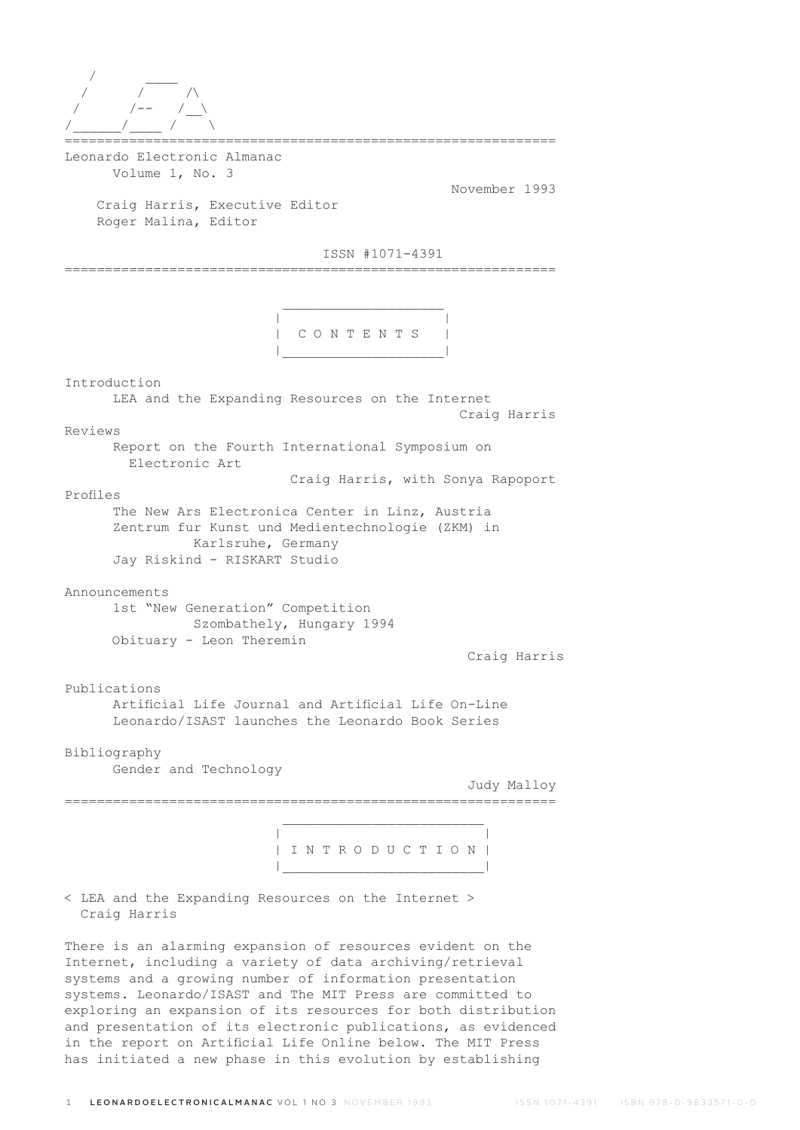| $\sqrt{2}$              |  |  |  |
|-------------------------|--|--|--|
| $\sqrt{--}$ $\sqrt{--}$ |  |  |  |
| $\sqrt{1 - 1}$          |  |  |  |
|                         |  |  |  |

Leonardo Electronic Almanac Volume 1, No. 3

November 1993

 Craig Harris, Executive Editor Roger Malina, Editor

 $\mathcal{L}_\text{max}$  and  $\mathcal{L}_\text{max}$  are the set of  $\mathcal{L}_\text{max}$  . The set of  $\mathcal{L}_\text{max}$ 

ISSN #1071-4391

=============================================================

 | | | C O N T E N T S | |\_\_\_\_\_\_\_\_\_\_\_\_\_\_\_\_\_\_\_\_|

Introduction LEA and the Expanding Resources on the Internet Craig Harris Reviews Report on the Fourth International Symposium on Electronic Art Craig Harris, with Sonya Rapoport Profiles The New Ars Electronica Center in Linz, Austria Zentrum fur Kunst und Medientechnologie (ZKM) in Karlsruhe, Germany Jay Riskind - RISKART Studio Announcements 1st "New Generation" Competition Szombathely, Hungary 1994 Obituary - Leon Theremin Craig Harris Publications Artificial Life Journal and Artificial Life On-Line Leonardo/ISAST launches the Leonardo Book Series Bibliography Gender and Technology Judy Malloy =============================================================  $\mathcal{L}_\text{max}$  and  $\mathcal{L}_\text{max}$  and  $\mathcal{L}_\text{max}$  and  $\mathcal{L}_\text{max}$  | | | I N T R O D U C T I O N | |\_\_\_\_\_\_\_\_\_\_\_\_\_\_\_\_\_\_\_\_\_\_\_\_\_| < LEA and the Expanding Resources on the Internet >

Craig Harris

There is an alarming expansion of resources evident on the Internet, including a variety of data archiving/retrieval systems and a growing number of information presentation systems. Leonardo/ISAST and The MIT Press are committed to exploring an expansion of its resources for both distribution and presentation of its electronic publications, as evidenced in the report on Artificial Life Online below. The MIT Press has initiated a new phase in this evolution by establishing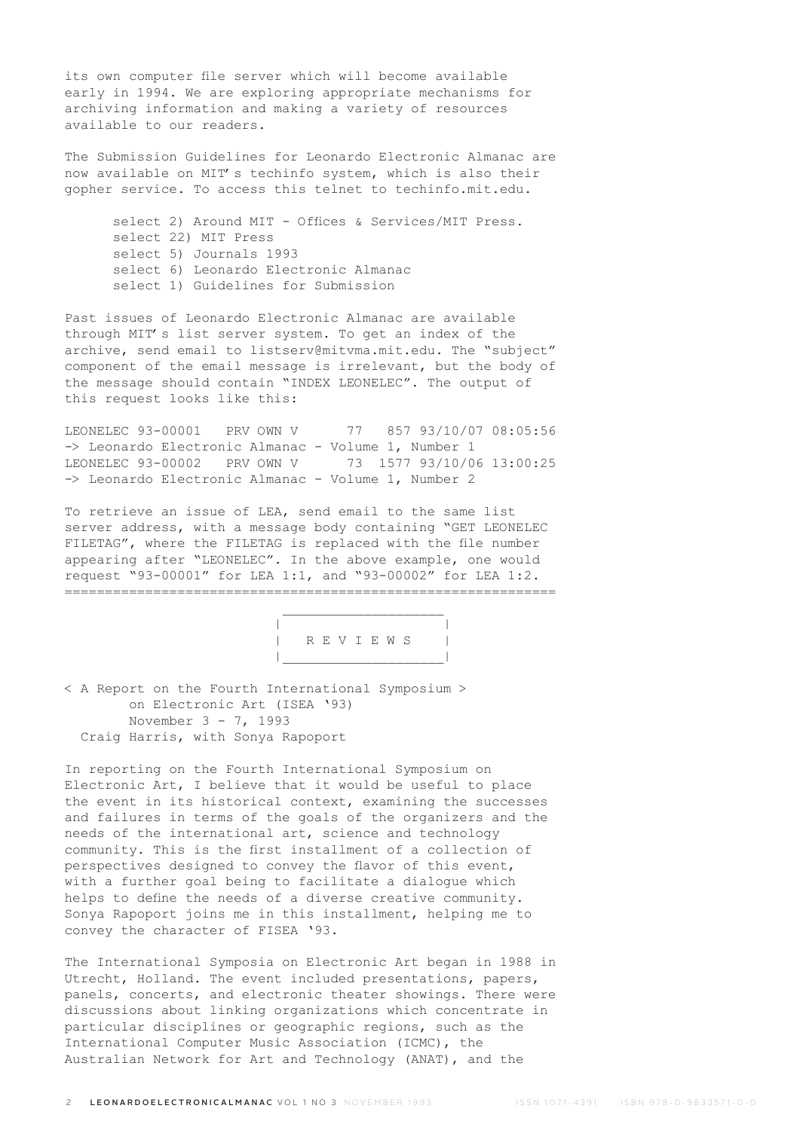its own computer file server which will become available early in 1994. We are exploring appropriate mechanisms for archiving information and making a variety of resources available to our readers.

The Submission Guidelines for Leonardo Electronic Almanac are now available on MIT's techinfo system, which is also their gopher service. To access this telnet to techinfo.mit.edu.

 select 2) Around MIT - Offices & Services/MIT Press. select 22) MIT Press select 5) Journals 1993 select 6) Leonardo Electronic Almanac select 1) Guidelines for Submission

Past issues of Leonardo Electronic Almanac are available through MIT's list server system. To get an index of the archive, send email to listserv@mitvma.mit.edu. The "subject" component of the email message is irrelevant, but the body of the message should contain "INDEX LEONELEC". The output of this request looks like this:

LEONELEC 93-00001 PRV OWN V 77 857 93/10/07 08:05:56 -> Leonardo Electronic Almanac - Volume 1, Number 1 LEONELEC 93-00002 PRV OWN V 73 1577 93/10/06 13:00:25 -> Leonardo Electronic Almanac - Volume 1, Number 2

To retrieve an issue of LEA, send email to the same list server address, with a message body containing "GET LEONELEC FILETAG", where the FILETAG is replaced with the file number appearing after "LEONELEC". In the above example, one would request "93-00001" for LEA 1:1, and "93-00002" for LEA 1:2. =============================================================



< A Report on the Fourth International Symposium > on Electronic Art (ISEA '93) November 3 - 7, 1993 Craig Harris, with Sonya Rapoport

In reporting on the Fourth International Symposium on Electronic Art, I believe that it would be useful to place the event in its historical context, examining the successes and failures in terms of the goals of the organizers and the needs of the international art, science and technology community. This is the first installment of a collection of perspectives designed to convey the flavor of this event, with a further goal being to facilitate a dialogue which helps to define the needs of a diverse creative community. Sonya Rapoport joins me in this installment, helping me to convey the character of FISEA '93.

The International Symposia on Electronic Art began in 1988 in Utrecht, Holland. The event included presentations, papers, panels, concerts, and electronic theater showings. There were discussions about linking organizations which concentrate in particular disciplines or geographic regions, such as the International Computer Music Association (ICMC), the Australian Network for Art and Technology (ANAT), and the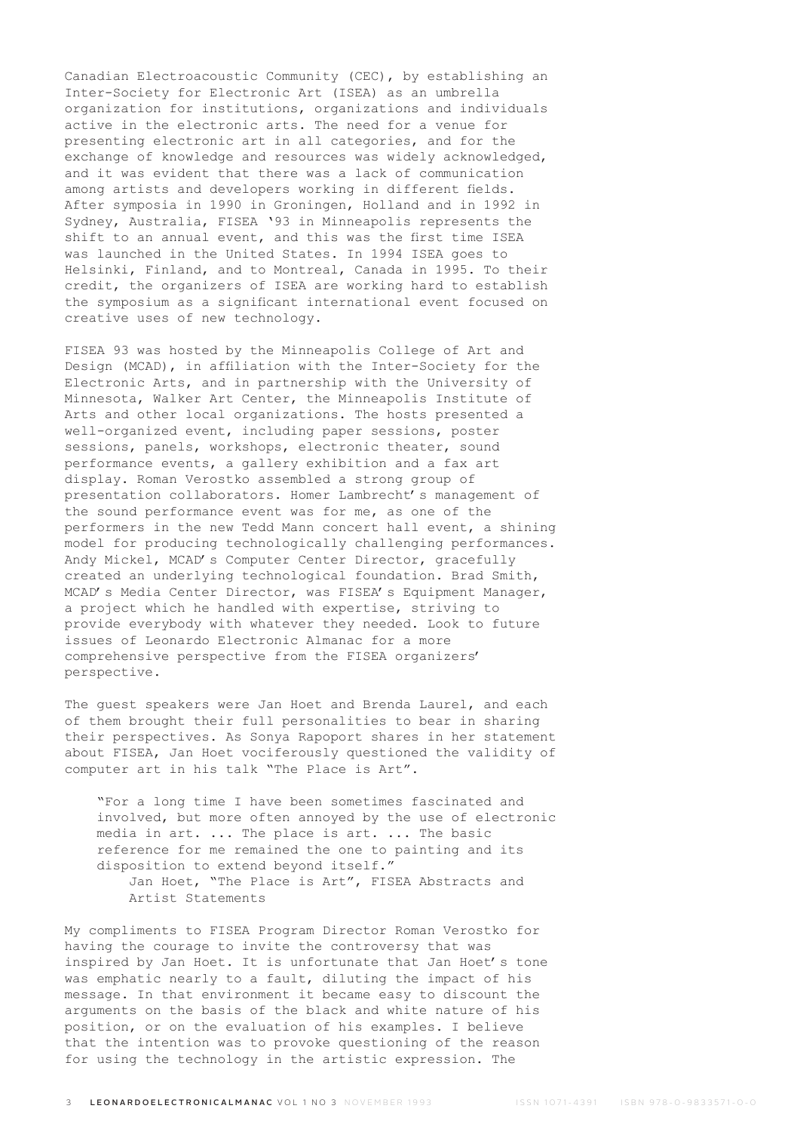Canadian Electroacoustic Community (CEC), by establishing an Inter-Society for Electronic Art (ISEA) as an umbrella organization for institutions, organizations and individuals active in the electronic arts. The need for a venue for presenting electronic art in all categories, and for the exchange of knowledge and resources was widely acknowledged, and it was evident that there was a lack of communication among artists and developers working in different fields. After symposia in 1990 in Groningen, Holland and in 1992 in Sydney, Australia, FISEA '93 in Minneapolis represents the shift to an annual event, and this was the first time ISEA was launched in the United States. In 1994 ISEA goes to Helsinki, Finland, and to Montreal, Canada in 1995. To their credit, the organizers of ISEA are working hard to establish the symposium as a significant international event focused on creative uses of new technology.

FISEA 93 was hosted by the Minneapolis College of Art and Design (MCAD), in affiliation with the Inter-Society for the Electronic Arts, and in partnership with the University of Minnesota, Walker Art Center, the Minneapolis Institute of Arts and other local organizations. The hosts presented a well-organized event, including paper sessions, poster sessions, panels, workshops, electronic theater, sound performance events, a gallery exhibition and a fax art display. Roman Verostko assembled a strong group of presentation collaborators. Homer Lambrecht's management of the sound performance event was for me, as one of the performers in the new Tedd Mann concert hall event, a shining model for producing technologically challenging performances. Andy Mickel, MCAD's Computer Center Director, gracefully created an underlying technological foundation. Brad Smith, MCAD's Media Center Director, was FISEA's Equipment Manager, a project which he handled with expertise, striving to provide everybody with whatever they needed. Look to future issues of Leonardo Electronic Almanac for a more comprehensive perspective from the FISEA organizers' perspective.

The guest speakers were Jan Hoet and Brenda Laurel, and each of them brought their full personalities to bear in sharing their perspectives. As Sonya Rapoport shares in her statement about FISEA, Jan Hoet vociferously questioned the validity of computer art in his talk "The Place is Art".

 "For a long time I have been sometimes fascinated and involved, but more often annoyed by the use of electronic media in art. ... The place is art. ... The basic reference for me remained the one to painting and its disposition to extend beyond itself." Jan Hoet, "The Place is Art", FISEA Abstracts and Artist Statements

My compliments to FISEA Program Director Roman Verostko for having the courage to invite the controversy that was inspired by Jan Hoet. It is unfortunate that Jan Hoet's tone was emphatic nearly to a fault, diluting the impact of his message. In that environment it became easy to discount the arguments on the basis of the black and white nature of his position, or on the evaluation of his examples. I believe that the intention was to provoke questioning of the reason for using the technology in the artistic expression. The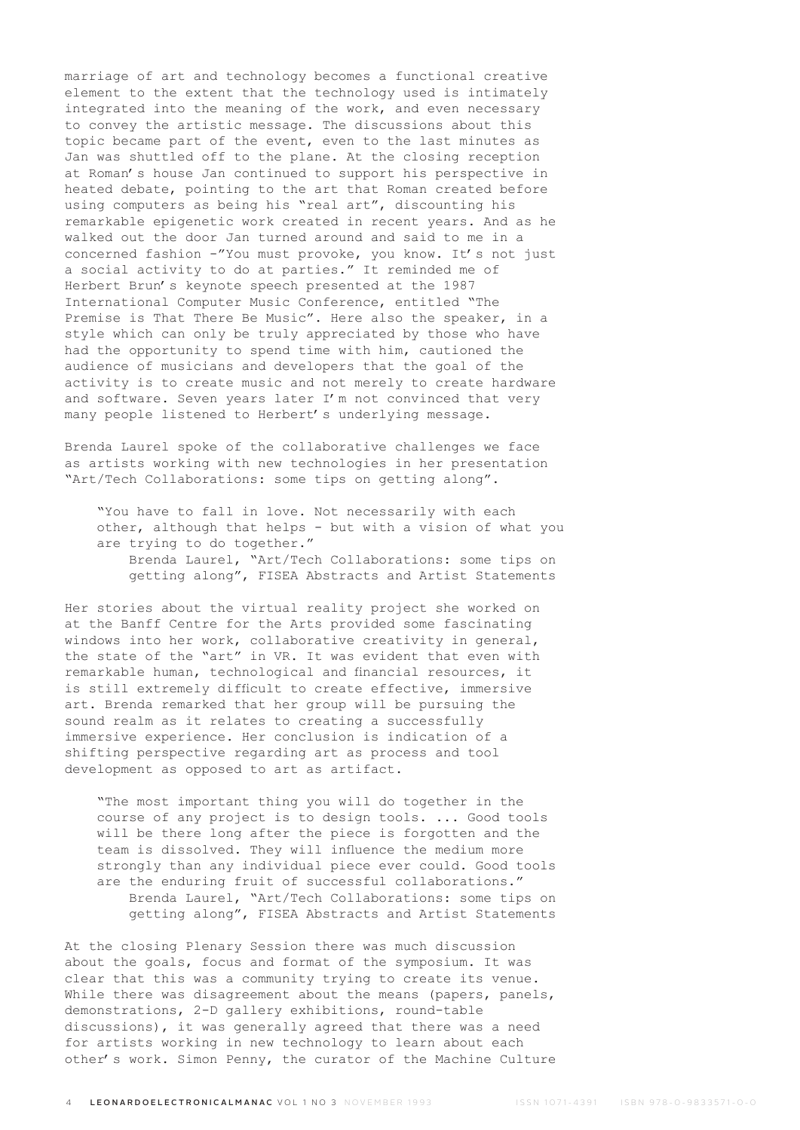marriage of art and technology becomes a functional creative element to the extent that the technology used is intimately integrated into the meaning of the work, and even necessary to convey the artistic message. The discussions about this topic became part of the event, even to the last minutes as Jan was shuttled off to the plane. At the closing reception at Roman's house Jan continued to support his perspective in heated debate, pointing to the art that Roman created before using computers as being his "real art", discounting his remarkable epigenetic work created in recent years. And as he walked out the door Jan turned around and said to me in a concerned fashion -"You must provoke, you know. It's not just a social activity to do at parties." It reminded me of Herbert Brun's keynote speech presented at the 1987 International Computer Music Conference, entitled "The Premise is That There Be Music". Here also the speaker, in a style which can only be truly appreciated by those who have had the opportunity to spend time with him, cautioned the audience of musicians and developers that the goal of the activity is to create music and not merely to create hardware and software. Seven years later I'm not convinced that very many people listened to Herbert's underlying message.

Brenda Laurel spoke of the collaborative challenges we face as artists working with new technologies in her presentation "Art/Tech Collaborations: some tips on getting along".

 "You have to fall in love. Not necessarily with each other, although that helps - but with a vision of what you are trying to do together." Brenda Laurel, "Art/Tech Collaborations: some tips on getting along", FISEA Abstracts and Artist Statements

Her stories about the virtual reality project she worked on at the Banff Centre for the Arts provided some fascinating windows into her work, collaborative creativity in general, the state of the "art" in VR. It was evident that even with remarkable human, technological and financial resources, it is still extremely difficult to create effective, immersive art. Brenda remarked that her group will be pursuing the sound realm as it relates to creating a successfully immersive experience. Her conclusion is indication of a shifting perspective regarding art as process and tool development as opposed to art as artifact.

 "The most important thing you will do together in the course of any project is to design tools. ... Good tools will be there long after the piece is forgotten and the team is dissolved. They will influence the medium more strongly than any individual piece ever could. Good tools are the enduring fruit of successful collaborations." Brenda Laurel, "Art/Tech Collaborations: some tips on getting along", FISEA Abstracts and Artist Statements

At the closing Plenary Session there was much discussion about the goals, focus and format of the symposium. It was clear that this was a community trying to create its venue. While there was disagreement about the means (papers, panels, demonstrations, 2-D gallery exhibitions, round-table discussions), it was generally agreed that there was a need for artists working in new technology to learn about each other's work. Simon Penny, the curator of the Machine Culture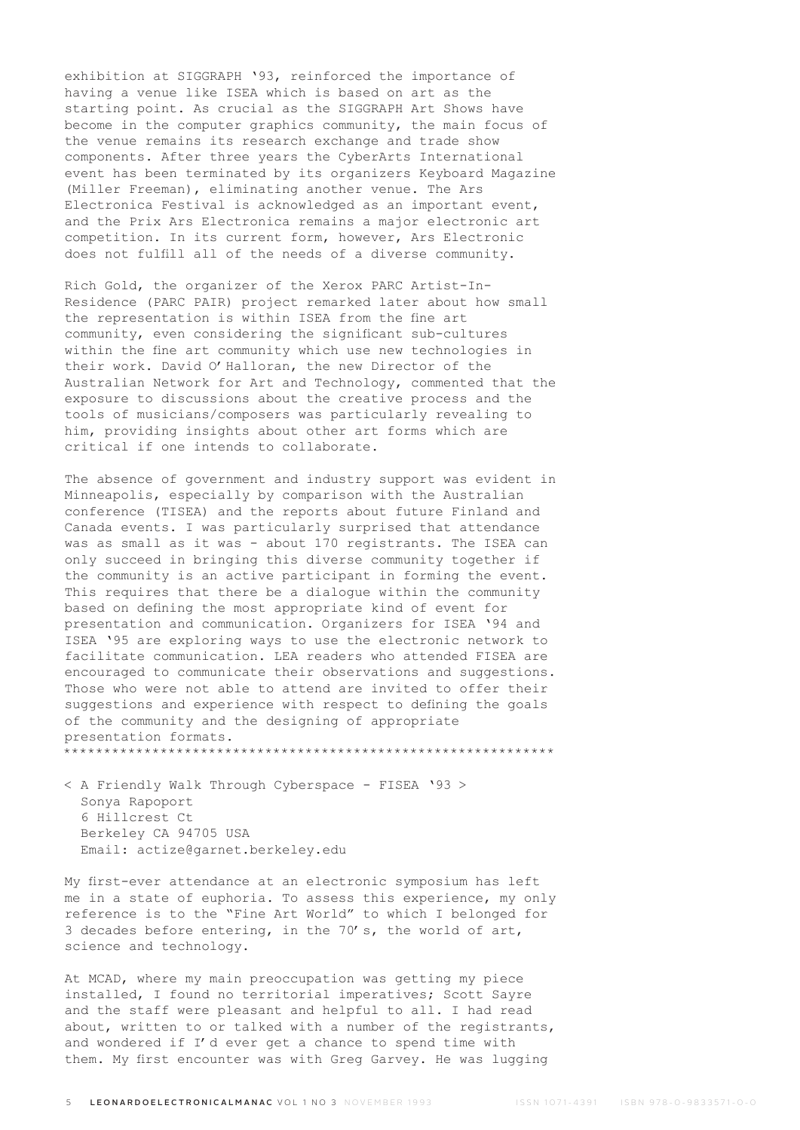exhibition at SIGGRAPH '93, reinforced the importance of having a venue like ISEA which is based on art as the starting point. As crucial as the SIGGRAPH Art Shows have become in the computer graphics community, the main focus of the venue remains its research exchange and trade show components. After three years the CyberArts International event has been terminated by its organizers Keyboard Magazine (Miller Freeman), eliminating another venue. The Ars Electronica Festival is acknowledged as an important event, and the Prix Ars Electronica remains a major electronic art competition. In its current form, however, Ars Electronic does not fulfill all of the needs of a diverse community.

Rich Gold, the organizer of the Xerox PARC Artist-In-Residence (PARC PAIR) project remarked later about how small the representation is within ISEA from the fine art community, even considering the significant sub-cultures within the fine art community which use new technologies in their work. David O'Halloran, the new Director of the Australian Network for Art and Technology, commented that the exposure to discussions about the creative process and the tools of musicians/composers was particularly revealing to him, providing insights about other art forms which are critical if one intends to collaborate.

The absence of government and industry support was evident in Minneapolis, especially by comparison with the Australian conference (TISEA) and the reports about future Finland and Canada events. I was particularly surprised that attendance was as small as it was - about 170 registrants. The ISEA can only succeed in bringing this diverse community together if the community is an active participant in forming the event. This requires that there be a dialogue within the community based on defining the most appropriate kind of event for presentation and communication. Organizers for ISEA '94 and ISEA '95 are exploring ways to use the electronic network to facilitate communication. LEA readers who attended FISEA are encouraged to communicate their observations and suggestions. Those who were not able to attend are invited to offer their suggestions and experience with respect to defining the goals of the community and the designing of appropriate presentation formats. \*\*\*\*\*\*\*\*\*\*\*\*\*\*\*\*\*\*\*\*\*\*\*\*\*\*\*\*\*\*\*\*\*\*\*\*\*\*\*\*\*\*\*\*\*\*\*\*\*\*\*\*\*\*\*\*\*\*\*\*\*

< A Friendly Walk Through Cyberspace - FISEA '93 > Sonya Rapoport 6 Hillcrest Ct Berkeley CA 94705 USA Email: actize@garnet.berkeley.edu

My first-ever attendance at an electronic symposium has left me in a state of euphoria. To assess this experience, my only reference is to the "Fine Art World" to which I belonged for 3 decades before entering, in the 70's, the world of art, science and technology.

At MCAD, where my main preoccupation was getting my piece installed, I found no territorial imperatives; Scott Sayre and the staff were pleasant and helpful to all. I had read about, written to or talked with a number of the registrants, and wondered if I'd ever get a chance to spend time with them. My first encounter was with Greg Garvey. He was lugging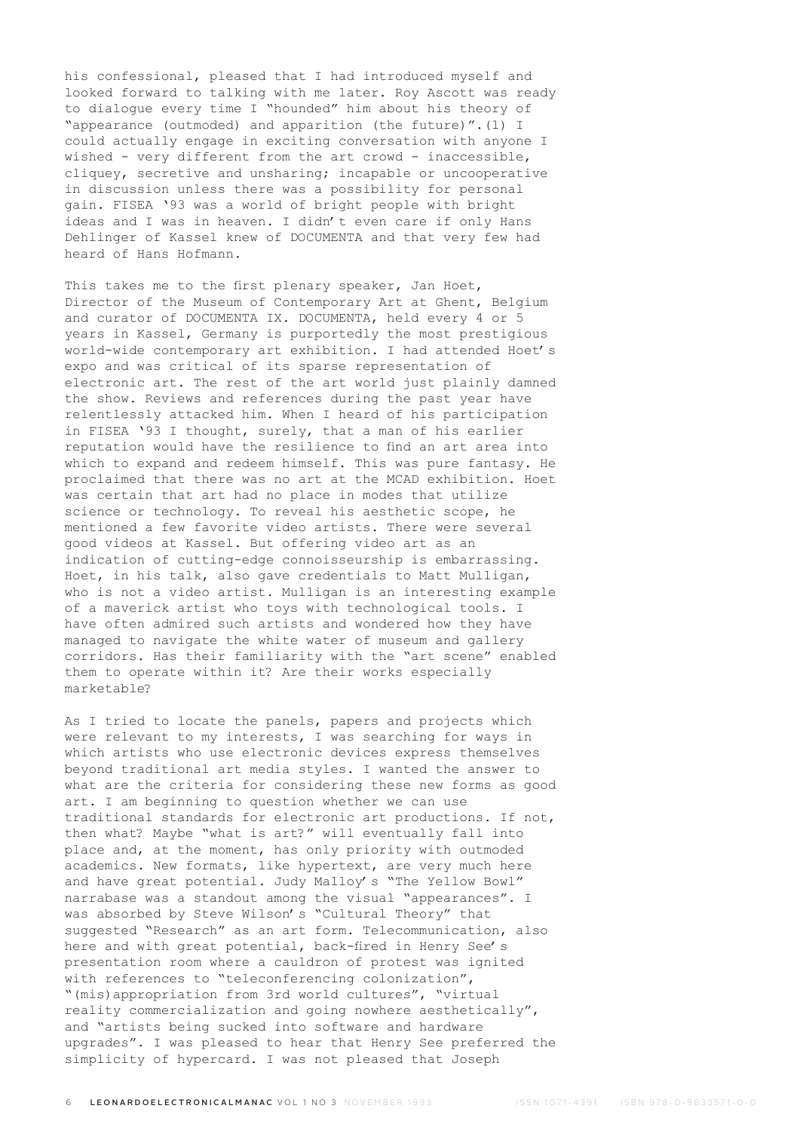his confessional, pleased that I had introduced myself and looked forward to talking with me later. Roy Ascott was ready to dialogue every time I "hounded" him about his theory of "appearance (outmoded) and apparition (the future)".(1) I could actually engage in exciting conversation with anyone I wished - very different from the art crowd - inaccessible, cliquey, secretive and unsharing; incapable or uncooperative in discussion unless there was a possibility for personal gain. FISEA '93 was a world of bright people with bright ideas and I was in heaven. I didn't even care if only Hans Dehlinger of Kassel knew of DOCUMENTA and that very few had heard of Hans Hofmann.

This takes me to the first plenary speaker, Jan Hoet, Director of the Museum of Contemporary Art at Ghent, Belgium and curator of DOCUMENTA IX. DOCUMENTA, held every 4 or 5 years in Kassel, Germany is purportedly the most prestigious world-wide contemporary art exhibition. I had attended Hoet's expo and was critical of its sparse representation of electronic art. The rest of the art world just plainly damned the show. Reviews and references during the past year have relentlessly attacked him. When I heard of his participation in FISEA '93 I thought, surely, that a man of his earlier reputation would have the resilience to find an art area into which to expand and redeem himself. This was pure fantasy. He proclaimed that there was no art at the MCAD exhibition. Hoet was certain that art had no place in modes that utilize science or technology. To reveal his aesthetic scope, he mentioned a few favorite video artists. There were several good videos at Kassel. But offering video art as an indication of cutting-edge connoisseurship is embarrassing. Hoet, in his talk, also gave credentials to Matt Mulligan, who is not a video artist. Mulligan is an interesting example of a maverick artist who toys with technological tools. I have often admired such artists and wondered how they have managed to navigate the white water of museum and gallery corridors. Has their familiarity with the "art scene" enabled them to operate within it? Are their works especially marketable?

As I tried to locate the panels, papers and projects which were relevant to my interests, I was searching for ways in which artists who use electronic devices express themselves beyond traditional art media styles. I wanted the answer to what are the criteria for considering these new forms as good art. I am beginning to question whether we can use traditional standards for electronic art productions. If not, then what? Maybe "what is art?" will eventually fall into place and, at the moment, has only priority with outmoded academics. New formats, like hypertext, are very much here and have great potential. Judy Malloy's "The Yellow Bowl" narrabase was a standout among the visual "appearances". I was absorbed by Steve Wilson's "Cultural Theory" that suggested "Research" as an art form. Telecommunication, also here and with great potential, back-fired in Henry See's presentation room where a cauldron of protest was ignited with references to "teleconferencing colonization", "(mis)appropriation from 3rd world cultures", "virtual reality commercialization and going nowhere aesthetically", and "artists being sucked into software and hardware upgrades". I was pleased to hear that Henry See preferred the simplicity of hypercard. I was not pleased that Joseph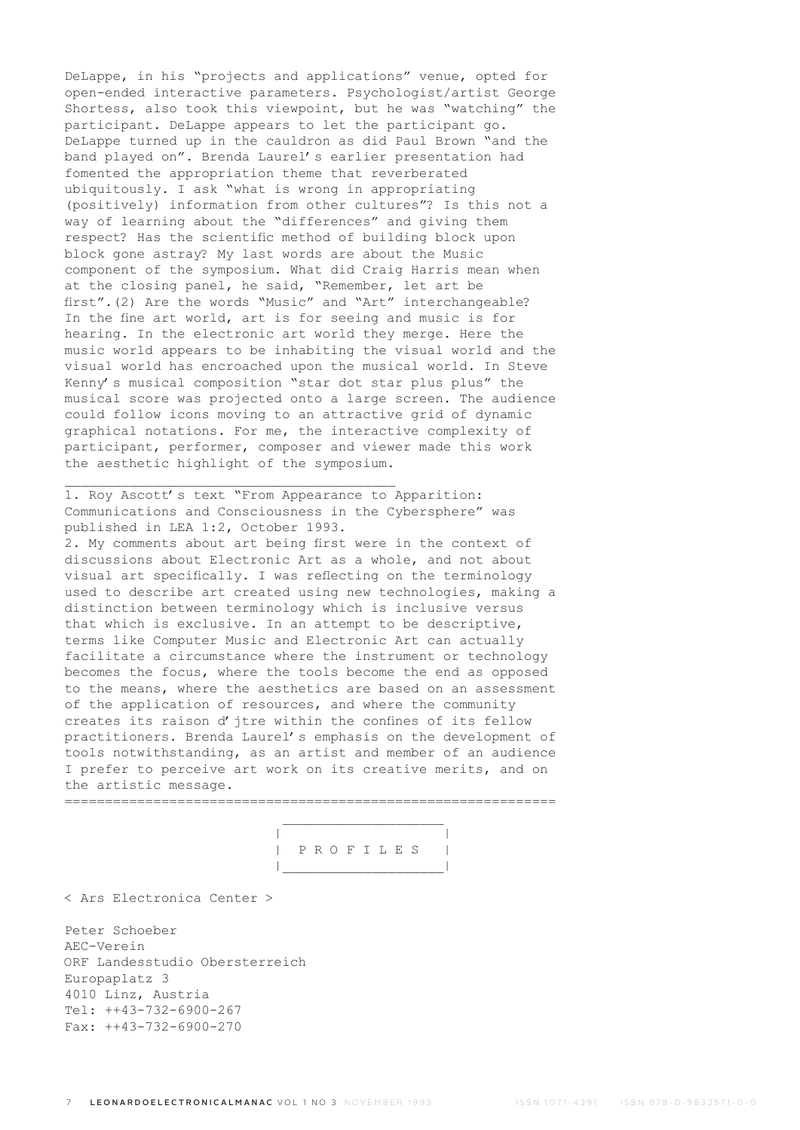DeLappe, in his "projects and applications" venue, opted for open-ended interactive parameters. Psychologist/artist George Shortess, also took this viewpoint, but he was "watching" the participant. DeLappe appears to let the participant go. DeLappe turned up in the cauldron as did Paul Brown "and the band played on". Brenda Laurel's earlier presentation had fomented the appropriation theme that reverberated ubiquitously. I ask "what is wrong in appropriating (positively) information from other cultures"? Is this not a way of learning about the "differences" and giving them respect? Has the scientific method of building block upon block gone astray? My last words are about the Music component of the symposium. What did Craig Harris mean when at the closing panel, he said, "Remember, let art be first".(2) Are the words "Music" and "Art" interchangeable? In the fine art world, art is for seeing and music is for hearing. In the electronic art world they merge. Here the music world appears to be inhabiting the visual world and the visual world has encroached upon the musical world. In Steve Kenny's musical composition "star dot star plus plus" the musical score was projected onto a large screen. The audience could follow icons moving to an attractive grid of dynamic graphical notations. For me, the interactive complexity of participant, performer, composer and viewer made this work the aesthetic highlight of the symposium.

1. Roy Ascott's text "From Appearance to Apparition: Communications and Consciousness in the Cybersphere" was published in LEA 1:2, October 1993.

\_\_\_\_\_\_\_\_\_\_\_\_\_\_\_\_\_\_\_\_\_\_\_\_\_\_\_\_\_\_\_\_\_\_\_\_\_\_\_\_\_

2. My comments about art being first were in the context of discussions about Electronic Art as a whole, and not about visual art specifically. I was reflecting on the terminology used to describe art created using new technologies, making a distinction between terminology which is inclusive versus that which is exclusive. In an attempt to be descriptive, terms like Computer Music and Electronic Art can actually facilitate a circumstance where the instrument or technology becomes the focus, where the tools become the end as opposed to the means, where the aesthetics are based on an assessment of the application of resources, and where the community creates its raison d'jtre within the confines of its fellow practitioners. Brenda Laurel's emphasis on the development of tools notwithstanding, as an artist and member of an audience I prefer to perceive art work on its creative merits, and on the artistic message.

=============================================================  $\mathcal{L}_\text{max}$  and  $\mathcal{L}_\text{max}$  and  $\mathcal{L}_\text{max}$  and  $\mathcal{L}_\text{max}$ 

 | | | P R O F I L E S | |\_\_\_\_\_\_\_\_\_\_\_\_\_\_\_\_\_\_\_\_|

< Ars Electronica Center >

Peter Schoeber AEC-Verein ORF Landesstudio Obersterreich Europaplatz 3 4010 Linz, Austria Tel: ++43-732-6900-267 Fax: ++43-732-6900-270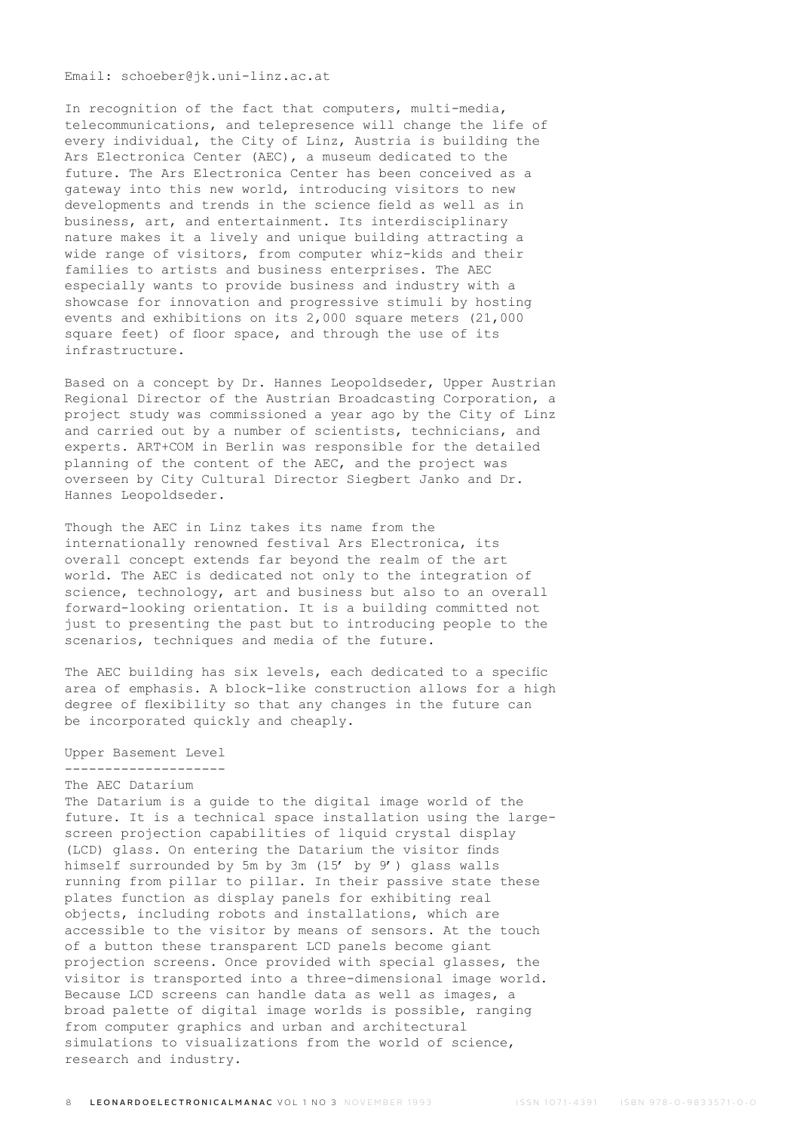Email: schoeber@jk.uni-linz.ac.at

In recognition of the fact that computers, multi-media, telecommunications, and telepresence will change the life of every individual, the City of Linz, Austria is building the Ars Electronica Center (AEC), a museum dedicated to the future. The Ars Electronica Center has been conceived as a gateway into this new world, introducing visitors to new developments and trends in the science field as well as in business, art, and entertainment. Its interdisciplinary nature makes it a lively and unique building attracting a wide range of visitors, from computer whiz-kids and their families to artists and business enterprises. The AEC especially wants to provide business and industry with a showcase for innovation and progressive stimuli by hosting events and exhibitions on its 2,000 square meters (21,000 square feet) of floor space, and through the use of its infrastructure.

Based on a concept by Dr. Hannes Leopoldseder, Upper Austrian Regional Director of the Austrian Broadcasting Corporation, a project study was commissioned a year ago by the City of Linz and carried out by a number of scientists, technicians, and experts. ART+COM in Berlin was responsible for the detailed planning of the content of the AEC, and the project was overseen by City Cultural Director Siegbert Janko and Dr. Hannes Leopoldseder.

Though the AEC in Linz takes its name from the internationally renowned festival Ars Electronica, its overall concept extends far beyond the realm of the art world. The AEC is dedicated not only to the integration of science, technology, art and business but also to an overall forward-looking orientation. It is a building committed not just to presenting the past but to introducing people to the scenarios, techniques and media of the future.

The AEC building has six levels, each dedicated to a specific area of emphasis. A block-like construction allows for a high degree of flexibility so that any changes in the future can be incorporated quickly and cheaply.

Upper Basement Level

-------------------- The AEC Datarium The Datarium is a guide to the digital image world of the future. It is a technical space installation using the largescreen projection capabilities of liquid crystal display (LCD) glass. On entering the Datarium the visitor finds himself surrounded by 5m by 3m (15' by 9') glass walls running from pillar to pillar. In their passive state these plates function as display panels for exhibiting real objects, including robots and installations, which are accessible to the visitor by means of sensors. At the touch of a button these transparent LCD panels become giant projection screens. Once provided with special glasses, the visitor is transported into a three-dimensional image world. Because LCD screens can handle data as well as images, a broad palette of digital image worlds is possible, ranging from computer graphics and urban and architectural simulations to visualizations from the world of science, research and industry.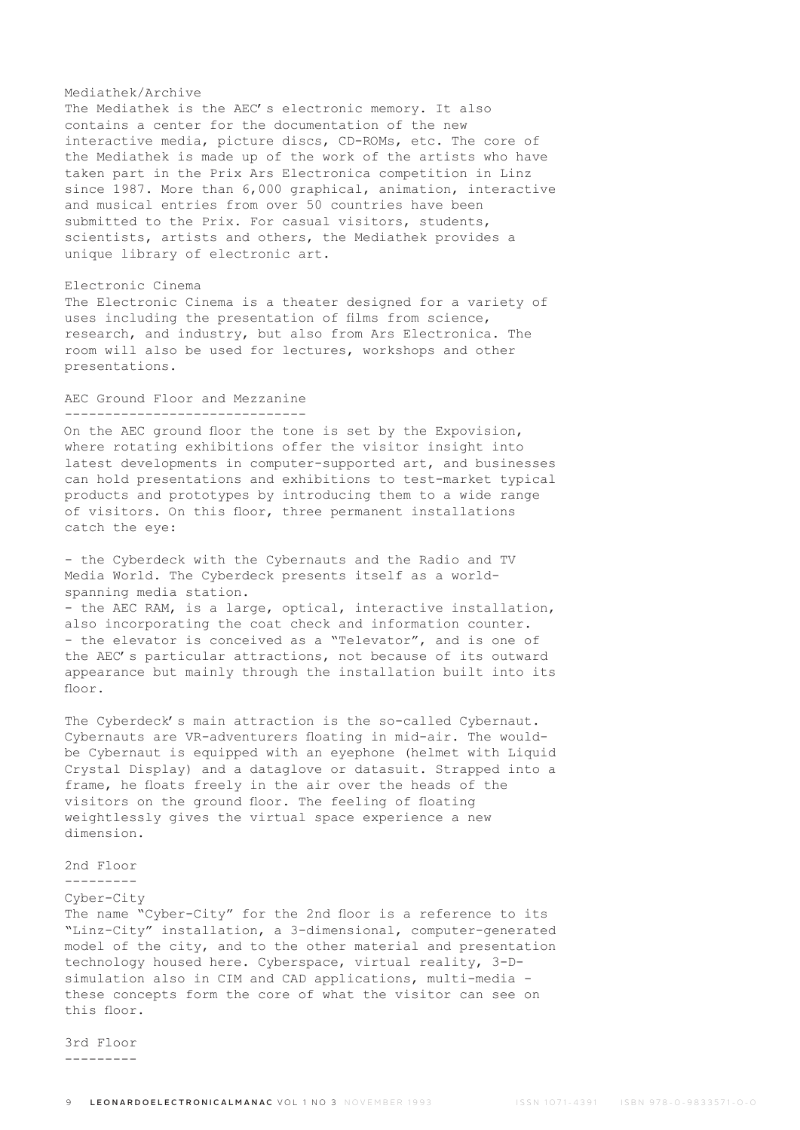#### Mediathek/Archive

The Mediathek is the AEC's electronic memory. It also contains a center for the documentation of the new interactive media, picture discs, CD-ROMs, etc. The core of the Mediathek is made up of the work of the artists who have taken part in the Prix Ars Electronica competition in Linz since 1987. More than 6,000 graphical, animation, interactive and musical entries from over 50 countries have been submitted to the Prix. For casual visitors, students, scientists, artists and others, the Mediathek provides a unique library of electronic art.

## Electronic Cinema

The Electronic Cinema is a theater designed for a variety of uses including the presentation of films from science, research, and industry, but also from Ars Electronica. The room will also be used for lectures, workshops and other presentations.

### AEC Ground Floor and Mezzanine ------------------------------

On the AEC ground floor the tone is set by the Expovision, where rotating exhibitions offer the visitor insight into latest developments in computer-supported art, and businesses can hold presentations and exhibitions to test-market typical products and prototypes by introducing them to a wide range of visitors. On this floor, three permanent installations catch the eye:

- the Cyberdeck with the Cybernauts and the Radio and TV Media World. The Cyberdeck presents itself as a worldspanning media station.

- the AEC RAM, is a large, optical, interactive installation, also incorporating the coat check and information counter. - the elevator is conceived as a "Televator", and is one of the AEC's particular attractions, not because of its outward appearance but mainly through the installation built into its floor

The Cyberdeck's main attraction is the so-called Cybernaut. Cybernauts are VR-adventurers floating in mid-air. The wouldbe Cybernaut is equipped with an eyephone (helmet with Liquid Crystal Display) and a dataglove or datasuit. Strapped into a frame, he floats freely in the air over the heads of the visitors on the ground floor. The feeling of floating weightlessly gives the virtual space experience a new dimension.

### 2nd Floor

---------

## Cyber-City

The name "Cyber-City" for the 2nd floor is a reference to its "Linz-City" installation, a 3-dimensional, computer-generated model of the city, and to the other material and presentation technology housed here. Cyberspace, virtual reality, 3-Dsimulation also in CIM and CAD applications, multi-media these concepts form the core of what the visitor can see on this floor.

3rd Floor ---------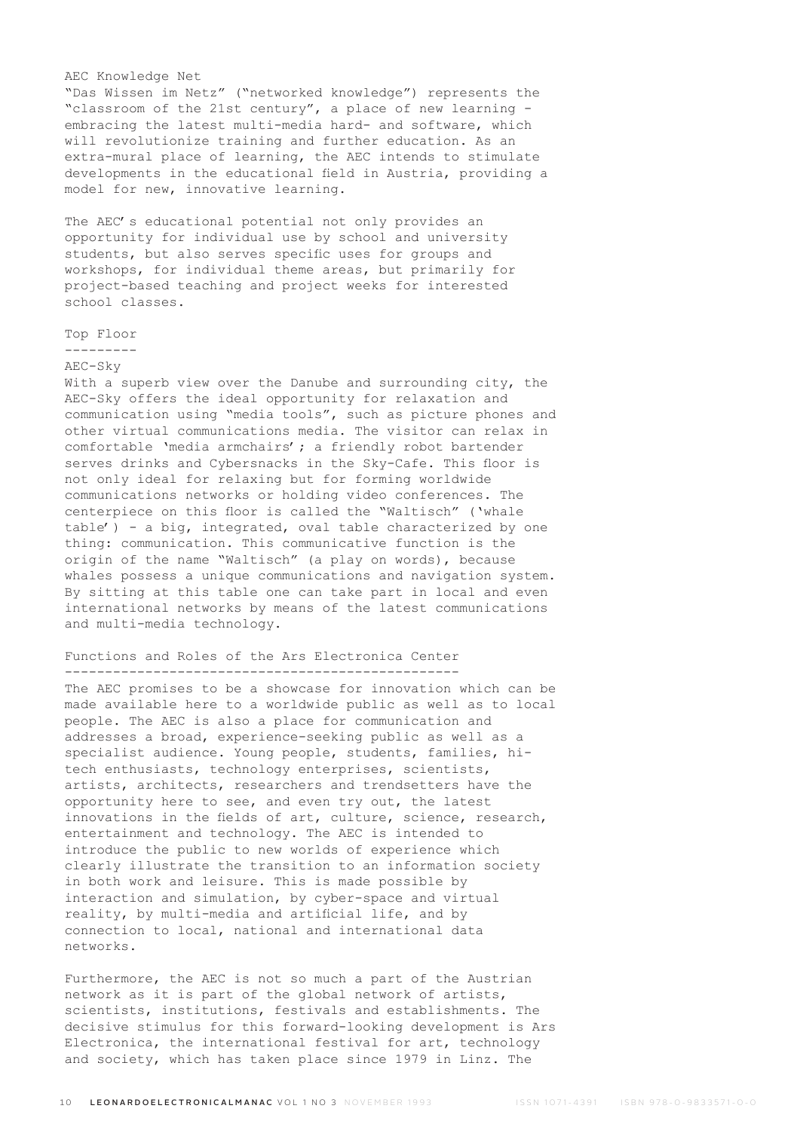### AEC Knowledge Net

"Das Wissen im Netz" ("networked knowledge") represents the "classroom of the 21st century", a place of new learning embracing the latest multi-media hard- and software, which will revolutionize training and further education. As an extra-mural place of learning, the AEC intends to stimulate developments in the educational field in Austria, providing a model for new, innovative learning.

The AEC's educational potential not only provides an opportunity for individual use by school and university students, but also serves specific uses for groups and workshops, for individual theme areas, but primarily for project-based teaching and project weeks for interested school classes.

### Top Floor

---------

## AEC-Sky

With a superb view over the Danube and surrounding city, the AEC-Sky offers the ideal opportunity for relaxation and communication using "media tools", such as picture phones and other virtual communications media. The visitor can relax in comfortable 'media armchairs'; a friendly robot bartender serves drinks and Cybersnacks in the Sky-Cafe. This floor is not only ideal for relaxing but for forming worldwide communications networks or holding video conferences. The centerpiece on this floor is called the "Waltisch" ('whale table') - a big, integrated, oval table characterized by one thing: communication. This communicative function is the origin of the name "Waltisch" (a play on words), because whales possess a unique communications and navigation system. By sitting at this table one can take part in local and even international networks by means of the latest communications and multi-media technology.

### Functions and Roles of the Ars Electronica Center -------------------------------------------------

The AEC promises to be a showcase for innovation which can be made available here to a worldwide public as well as to local people. The AEC is also a place for communication and addresses a broad, experience-seeking public as well as a specialist audience. Young people, students, families, hitech enthusiasts, technology enterprises, scientists, artists, architects, researchers and trendsetters have the opportunity here to see, and even try out, the latest innovations in the fields of art, culture, science, research, entertainment and technology. The AEC is intended to introduce the public to new worlds of experience which clearly illustrate the transition to an information society in both work and leisure. This is made possible by interaction and simulation, by cyber-space and virtual reality, by multi-media and artificial life, and by connection to local, national and international data networks.

Furthermore, the AEC is not so much a part of the Austrian network as it is part of the global network of artists, scientists, institutions, festivals and establishments. The decisive stimulus for this forward-looking development is Ars Electronica, the international festival for art, technology and society, which has taken place since 1979 in Linz. The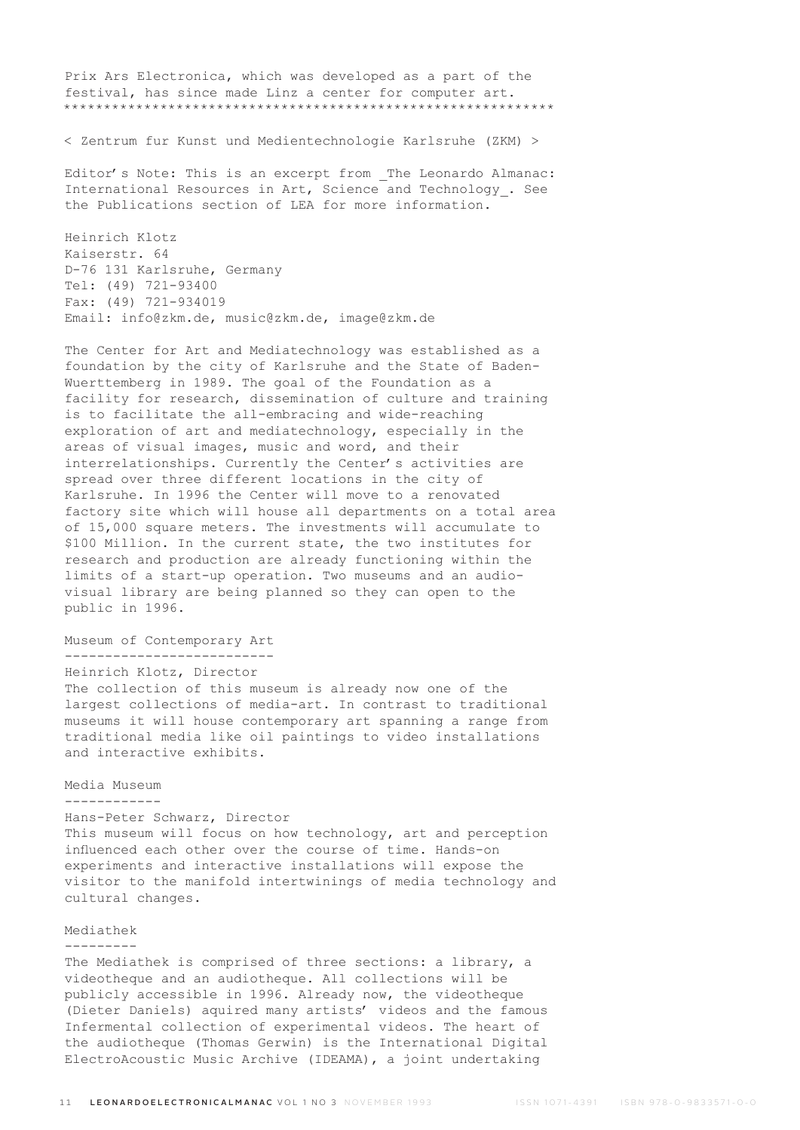Prix Ars Electronica, which was developed as a part of the festival, has since made Linz a center for computer art. \*\*\*\*\*\*\*\*\*\*\*\*\*\*\*\*\*\*\*\*\*\*\*\*\*\*\*\*\*\*\*\*\*\*\*\*\*\*\*\*\*\*\*\*\*\*\*\*\*\*\*\*\*\*\*\*\*\*\*\*\*

< Zentrum fur Kunst und Medientechnologie Karlsruhe (ZKM) >

Editor's Note: This is an excerpt from The Leonardo Almanac: International Resources in Art, Science and Technology\_. See the Publications section of LEA for more information.

Heinrich Klotz Kaiserstr. 64 D-76 131 Karlsruhe, Germany Tel: (49) 721-93400 Fax: (49) 721-934019 Email: info@zkm.de, music@zkm.de, image@zkm.de

The Center for Art and Mediatechnology was established as a foundation by the city of Karlsruhe and the State of Baden-Wuerttemberg in 1989. The goal of the Foundation as a facility for research, dissemination of culture and training is to facilitate the all-embracing and wide-reaching exploration of art and mediatechnology, especially in the areas of visual images, music and word, and their interrelationships. Currently the Center's activities are spread over three different locations in the city of Karlsruhe. In 1996 the Center will move to a renovated factory site which will house all departments on a total area of 15,000 square meters. The investments will accumulate to \$100 Million. In the current state, the two institutes for research and production are already functioning within the limits of a start-up operation. Two museums and an audiovisual library are being planned so they can open to the public in 1996.

### Museum of Contemporary Art

--------------------------

Heinrich Klotz, Director

The collection of this museum is already now one of the largest collections of media-art. In contrast to traditional museums it will house contemporary art spanning a range from traditional media like oil paintings to video installations and interactive exhibits.

Media Museum

## ------------

# Hans-Peter Schwarz, Director

This museum will focus on how technology, art and perception influenced each other over the course of time. Hands-on experiments and interactive installations will expose the visitor to the manifold intertwinings of media technology and cultural changes.

### Mediathek

### ---------

The Mediathek is comprised of three sections: a library, a videotheque and an audiotheque. All collections will be publicly accessible in 1996. Already now, the videotheque (Dieter Daniels) aquired many artists' videos and the famous Infermental collection of experimental videos. The heart of the audiotheque (Thomas Gerwin) is the International Digital ElectroAcoustic Music Archive (IDEAMA), a joint undertaking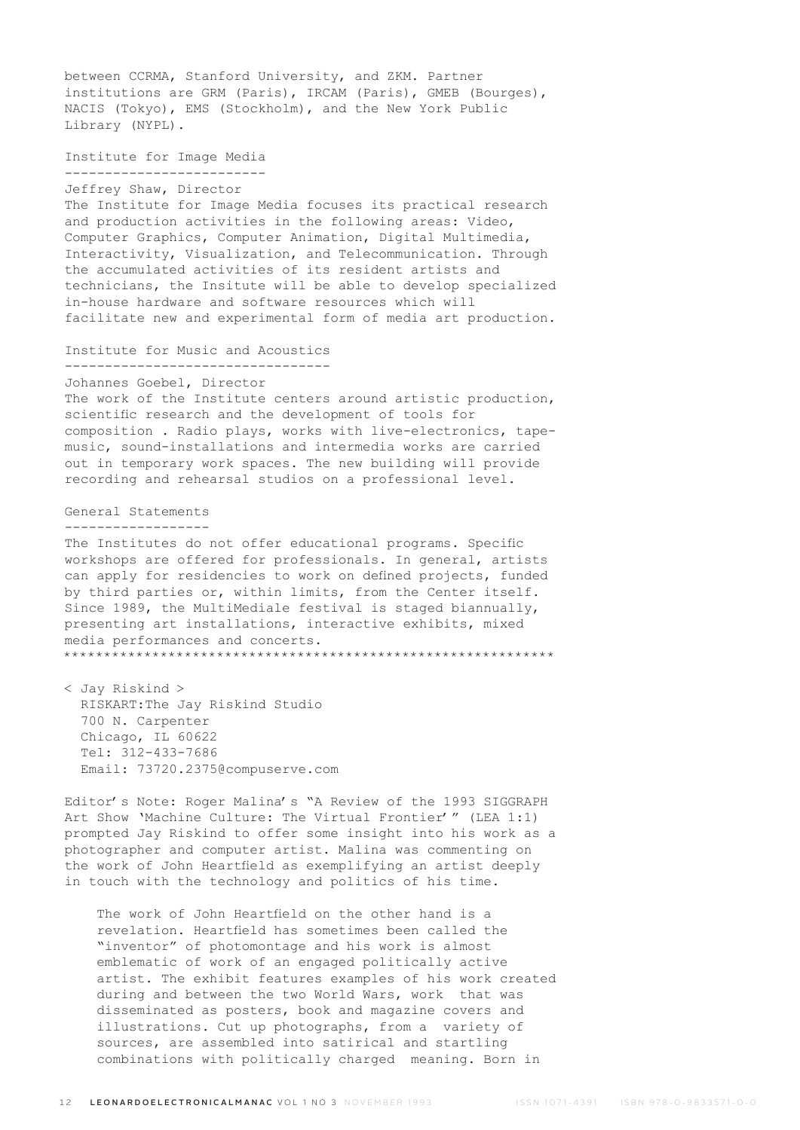between CCRMA, Stanford University, and ZKM. Partner institutions are GRM (Paris), IRCAM (Paris), GMEB (Bourges), NACIS (Tokyo), EMS (Stockholm), and the New York Public Library (NYPL). Institute for Image Media ------------------------- Jeffrey Shaw, Director The Institute for Image Media focuses its practical research and production activities in the following areas: Video, Computer Graphics, Computer Animation, Digital Multimedia, Interactivity, Visualization, and Telecommunication. Through the accumulated activities of its resident artists and technicians, the Insitute will be able to develop specialized in-house hardware and software resources which will facilitate new and experimental form of media art production. Institute for Music and Acoustics --------------------------------- Johannes Goebel, Director The work of the Institute centers around artistic production, scientific research and the development of tools for composition . Radio plays, works with live-electronics, tapemusic, sound-installations and intermedia works are carried out in temporary work spaces. The new building will provide recording and rehearsal studios on a professional level. General Statements ------------------ The Institutes do not offer educational programs. Specific workshops are offered for professionals. In general, artists can apply for residencies to work on defined projects, funded by third parties or, within limits, from the Center itself. Since 1989, the MultiMediale festival is staged biannually, presenting art installations, interactive exhibits, mixed media performances and concerts. \*\*\*\*\*\*\*\*\*\*\*\*\*\*\*\*\*\*\*\*\*\*\*\*\*\*\*\*\*\*\*\*\*\*\*\*\*\*\*\*\*\*\*\*\*\*\*\*\*\*\*\*\*\*\*\*\*\*\*\*\* < Jay Riskind > RISKART:The Jay Riskind Studio 700 N. Carpenter Chicago, IL 60622 Tel: 312-433-7686 Email: 73720.2375@compuserve.com Editor's Note: Roger Malina's "A Review of the 1993 SIGGRAPH Art Show 'Machine Culture: The Virtual Frontier'" (LEA 1:1) prompted Jay Riskind to offer some insight into his work as a photographer and computer artist. Malina was commenting on the work of John Heartfield as exemplifying an artist deeply in touch with the technology and politics of his time.

 The work of John Heartfield on the other hand is a revelation. Heartfield has sometimes been called the "inventor" of photomontage and his work is almost emblematic of work of an engaged politically active artist. The exhibit features examples of his work created during and between the two World Wars, work that was disseminated as posters, book and magazine covers and illustrations. Cut up photographs, from a variety of sources, are assembled into satirical and startling combinations with politically charged meaning. Born in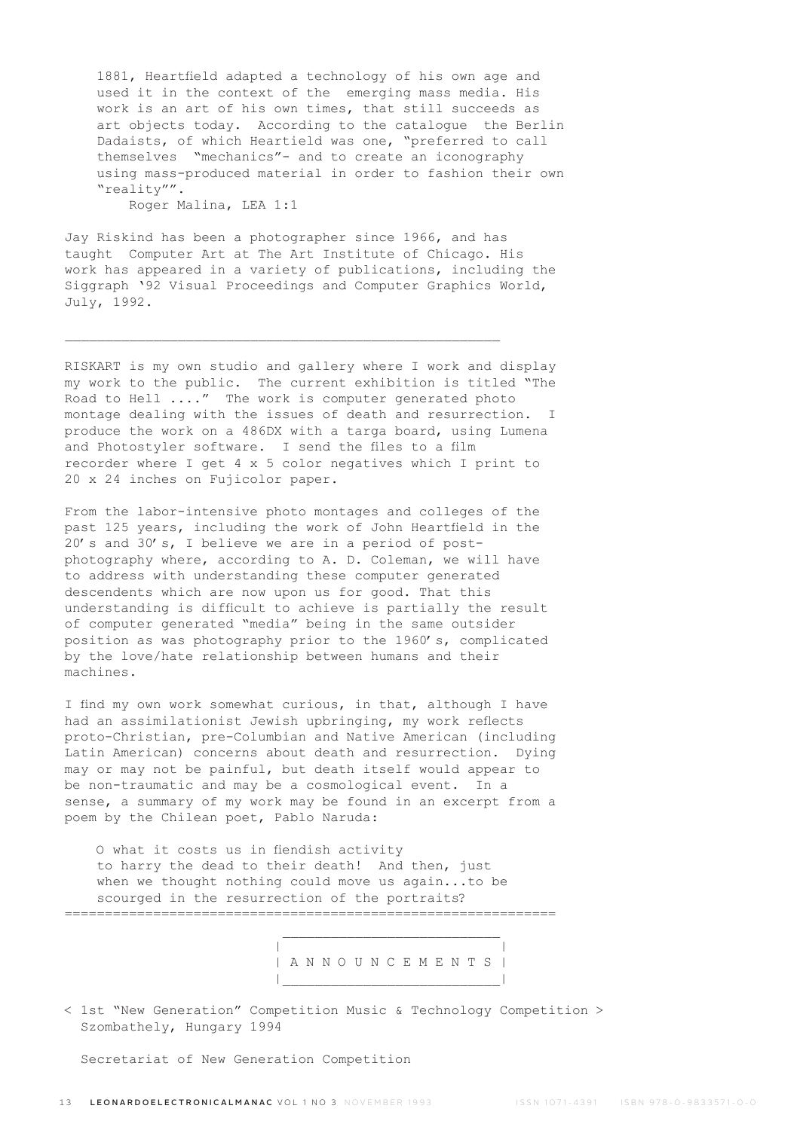1881, Heartfield adapted a technology of his own age and used it in the context of the emerging mass media. His work is an art of his own times, that still succeeds as art objects today. According to the catalogue the Berlin Dadaists, of which Heartield was one, "preferred to call themselves "mechanics"- and to create an iconography using mass-produced material in order to fashion their own "reality"".

Roger Malina, LEA 1:1

Jay Riskind has been a photographer since 1966, and has taught Computer Art at The Art Institute of Chicago. His work has appeared in a variety of publications, including the Siggraph '92 Visual Proceedings and Computer Graphics World, July, 1992.

 $\_$  , and the set of the set of the set of the set of the set of the set of the set of the set of the set of the set of the set of the set of the set of the set of the set of the set of the set of the set of the set of th

RISKART is my own studio and gallery where I work and display my work to the public. The current exhibition is titled "The Road to Hell ...." The work is computer generated photo montage dealing with the issues of death and resurrection. I produce the work on a 486DX with a targa board, using Lumena and Photostyler software. I send the files to a film recorder where I get 4 x 5 color negatives which I print to 20 x 24 inches on Fujicolor paper.

From the labor-intensive photo montages and colleges of the past 125 years, including the work of John Heartfield in the 20's and 30's, I believe we are in a period of postphotography where, according to A. D. Coleman, we will have to address with understanding these computer generated descendents which are now upon us for good. That this understanding is difficult to achieve is partially the result of computer generated "media" being in the same outsider position as was photography prior to the 1960's, complicated by the love/hate relationship between humans and their machines.

I find my own work somewhat curious, in that, although I have had an assimilationist Jewish upbringing, my work reflects proto-Christian, pre-Columbian and Native American (including Latin American) concerns about death and resurrection. Dying may or may not be painful, but death itself would appear to be non-traumatic and may be a cosmological event. In a sense, a summary of my work may be found in an excerpt from a poem by the Chilean poet, Pablo Naruda:

 O what it costs us in fiendish activity to harry the dead to their death! And then, just when we thought nothing could move us again...to be scourged in the resurrection of the portraits? =============================================================

 $\mathcal{L}_\text{max}$  and the contract of the contract of the contract of the contract of the contract of the contract of the contract of the contract of the contract of the contract of the contract of the contract of the contrac

 | | | A N N O U N C E M E N T S | |\_\_\_\_\_\_\_\_\_\_\_\_\_\_\_\_\_\_\_\_\_\_\_\_\_\_\_|

< 1st "New Generation" Competition Music & Technology Competition > Szombathely, Hungary 1994

Secretariat of New Generation Competition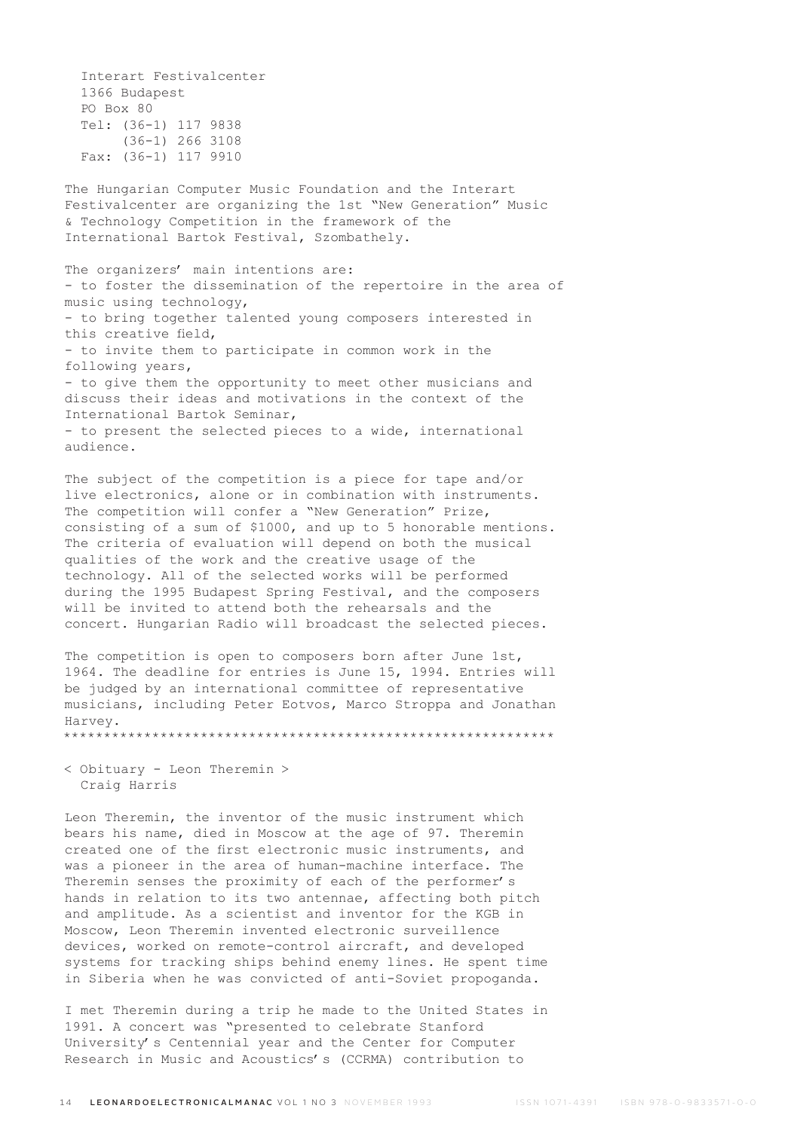Interart Festivalcenter 1366 Budapest PO Box 80 Tel: (36-1) 117 9838 (36-1) 266 3108 Fax: (36-1) 117 9910

The Hungarian Computer Music Foundation and the Interart Festivalcenter are organizing the 1st "New Generation" Music & Technology Competition in the framework of the International Bartok Festival, Szombathely.

The organizers' main intentions are: - to foster the dissemination of the repertoire in the area of music using technology, - to bring together talented young composers interested in this creative field, - to invite them to participate in common work in the following years, - to give them the opportunity to meet other musicians and discuss their ideas and motivations in the context of the International Bartok Seminar, - to present the selected pieces to a wide, international audience.

The subject of the competition is a piece for tape and/or live electronics, alone or in combination with instruments. The competition will confer a "New Generation" Prize, consisting of a sum of \$1000, and up to 5 honorable mentions. The criteria of evaluation will depend on both the musical qualities of the work and the creative usage of the technology. All of the selected works will be performed during the 1995 Budapest Spring Festival, and the composers will be invited to attend both the rehearsals and the concert. Hungarian Radio will broadcast the selected pieces.

The competition is open to composers born after June 1st, 1964. The deadline for entries is June 15, 1994. Entries will be judged by an international committee of representative musicians, including Peter Eotvos, Marco Stroppa and Jonathan Harvey.

\*\*\*\*\*\*\*\*\*\*\*\*\*\*\*\*\*\*\*\*\*\*\*\*\*\*\*\*\*\*\*\*\*\*\*\*\*\*\*\*\*\*\*\*\*\*\*\*\*\*\*\*\*\*\*\*\*\*\*\*\*

< Obituary - Leon Theremin > Craig Harris

Leon Theremin, the inventor of the music instrument which bears his name, died in Moscow at the age of 97. Theremin created one of the first electronic music instruments, and was a pioneer in the area of human-machine interface. The Theremin senses the proximity of each of the performer's hands in relation to its two antennae, affecting both pitch and amplitude. As a scientist and inventor for the KGB in Moscow, Leon Theremin invented electronic surveillence devices, worked on remote-control aircraft, and developed systems for tracking ships behind enemy lines. He spent time in Siberia when he was convicted of anti-Soviet propoganda.

I met Theremin during a trip he made to the United States in 1991. A concert was "presented to celebrate Stanford University's Centennial year and the Center for Computer Research in Music and Acoustics's (CCRMA) contribution to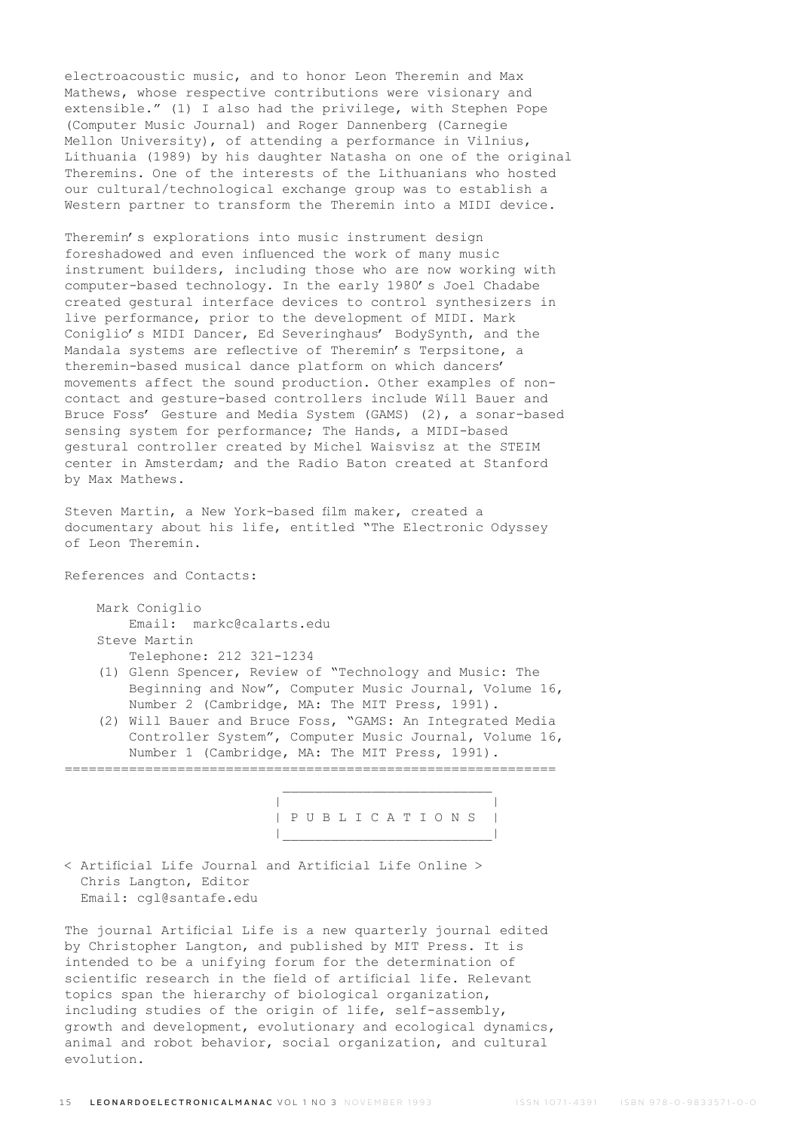electroacoustic music, and to honor Leon Theremin and Max Mathews, whose respective contributions were visionary and extensible." (1) I also had the privilege, with Stephen Pope (Computer Music Journal) and Roger Dannenberg (Carnegie Mellon University), of attending a performance in Vilnius, Lithuania (1989) by his daughter Natasha on one of the original Theremins. One of the interests of the Lithuanians who hosted our cultural/technological exchange group was to establish a Western partner to transform the Theremin into a MIDI device.

Theremin's explorations into music instrument design foreshadowed and even influenced the work of many music instrument builders, including those who are now working with computer-based technology. In the early 1980's Joel Chadabe created gestural interface devices to control synthesizers in live performance, prior to the development of MIDI. Mark Coniglio's MIDI Dancer, Ed Severinghaus' BodySynth, and the Mandala systems are reflective of Theremin's Terpsitone, a theremin-based musical dance platform on which dancers' movements affect the sound production. Other examples of noncontact and gesture-based controllers include Will Bauer and Bruce Foss' Gesture and Media System (GAMS) (2), a sonar-based sensing system for performance; The Hands, a MIDI-based gestural controller created by Michel Waisvisz at the STEIM center in Amsterdam; and the Radio Baton created at Stanford by Max Mathews.

Steven Martin, a New York-based film maker, created a documentary about his life, entitled "The Electronic Odyssey of Leon Theremin.

References and Contacts:

 Mark Coniglio Email: markc@calarts.edu Steve Martin Telephone: 212 321-1234

- (1) Glenn Spencer, Review of "Technology and Music: The Beginning and Now", Computer Music Journal, Volume 16,
- Number 2 (Cambridge, MA: The MIT Press, 1991). (2) Will Bauer and Bruce Foss, "GAMS: An Integrated Media Controller System", Computer Music Journal, Volume 16, Number 1 (Cambridge, MA: The MIT Press, 1991).

=============================================================

 | | | P U B L I C A T I O N S | |\_\_\_\_\_\_\_\_\_\_\_\_\_\_\_\_\_\_\_\_\_\_\_\_\_\_|

< Artificial Life Journal and Artificial Life Online > Chris Langton, Editor Email: cgl@santafe.edu

 $\mathcal{L}_\text{max}$  and  $\mathcal{L}_\text{max}$  and  $\mathcal{L}_\text{max}$  and  $\mathcal{L}_\text{max}$ 

The journal Artificial Life is a new quarterly journal edited by Christopher Langton, and published by MIT Press. It is intended to be a unifying forum for the determination of scientific research in the field of artificial life. Relevant topics span the hierarchy of biological organization, including studies of the origin of life, self-assembly, growth and development, evolutionary and ecological dynamics, animal and robot behavior, social organization, and cultural evolution.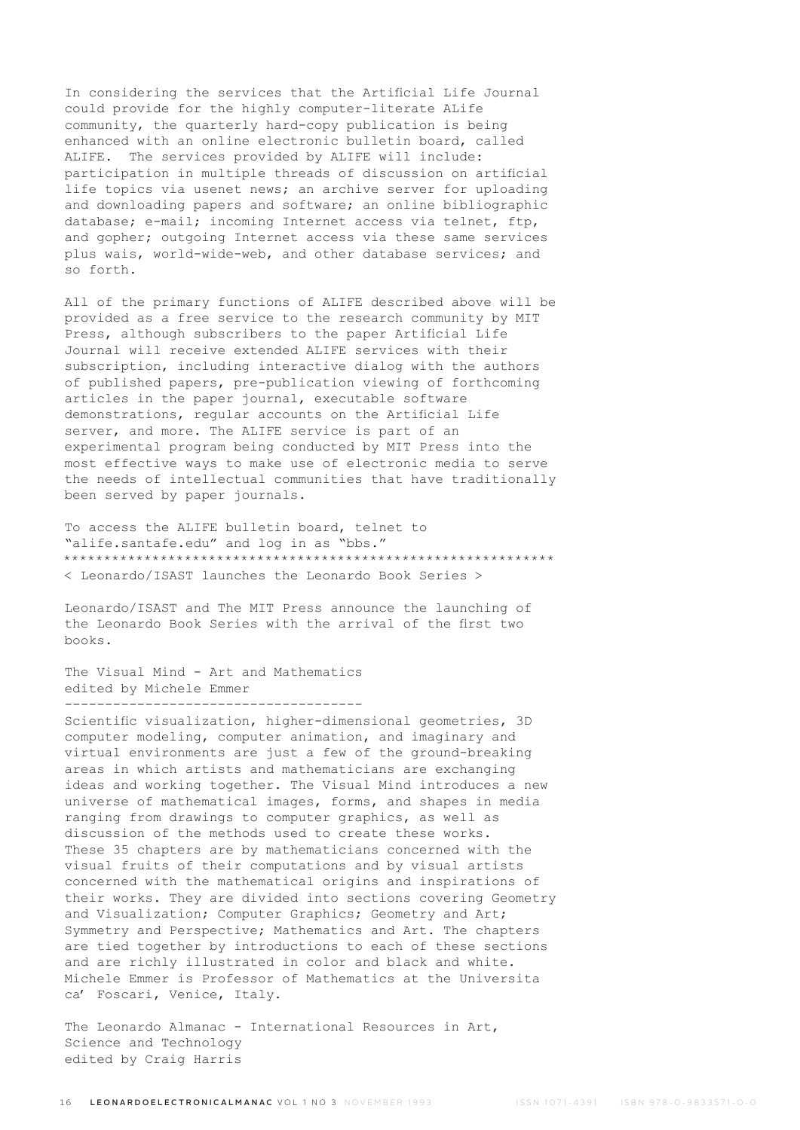In considering the services that the Artificial Life Journal could provide for the highly computer-literate ALife community, the quarterly hard-copy publication is being enhanced with an online electronic bulletin board, called ALIFE. The services provided by ALIFE will include: participation in multiple threads of discussion on artificial life topics via usenet news; an archive server for uploading and downloading papers and software; an online bibliographic database; e-mail; incoming Internet access via telnet, ftp, and gopher; outgoing Internet access via these same services plus wais, world-wide-web, and other database services; and so forth.

All of the primary functions of ALIFE described above will be provided as a free service to the research community by MIT Press, although subscribers to the paper Artificial Life Journal will receive extended ALIFE services with their subscription, including interactive dialog with the authors of published papers, pre-publication viewing of forthcoming articles in the paper journal, executable software demonstrations, regular accounts on the Artificial Life server, and more. The ALIFE service is part of an experimental program being conducted by MIT Press into the most effective ways to make use of electronic media to serve the needs of intellectual communities that have traditionally been served by paper journals.

To access the ALIFE bulletin board, telnet to "alife.santafe.edu" and log in as "bbs." \*\*\*\*\*\*\*\*\*\*\*\*\*\*\*\*\*\*\*\*\*\*\*\*\*\*\*\*\*\*\*\*\*\*\*\*\*\*\*\*\*\*\*\*\*\*\*\*\*\*\*\*\*\*\*\*\*\*\*\*\* < Leonardo/ISAST launches the Leonardo Book Series >

Leonardo/ISAST and The MIT Press announce the launching of the Leonardo Book Series with the arrival of the first two books.

The Visual Mind - Art and Mathematics edited by Michele Emmer -------------------------------------

Scientific visualization, higher-dimensional geometries, 3D computer modeling, computer animation, and imaginary and virtual environments are just a few of the ground-breaking areas in which artists and mathematicians are exchanging ideas and working together. The Visual Mind introduces a new universe of mathematical images, forms, and shapes in media ranging from drawings to computer graphics, as well as discussion of the methods used to create these works. These 35 chapters are by mathematicians concerned with the visual fruits of their computations and by visual artists concerned with the mathematical origins and inspirations of their works. They are divided into sections covering Geometry and Visualization; Computer Graphics; Geometry and Art; Symmetry and Perspective; Mathematics and Art. The chapters are tied together by introductions to each of these sections and are richly illustrated in color and black and white. Michele Emmer is Professor of Mathematics at the Universita ca' Foscari, Venice, Italy.

The Leonardo Almanac - International Resources in Art, Science and Technology edited by Craig Harris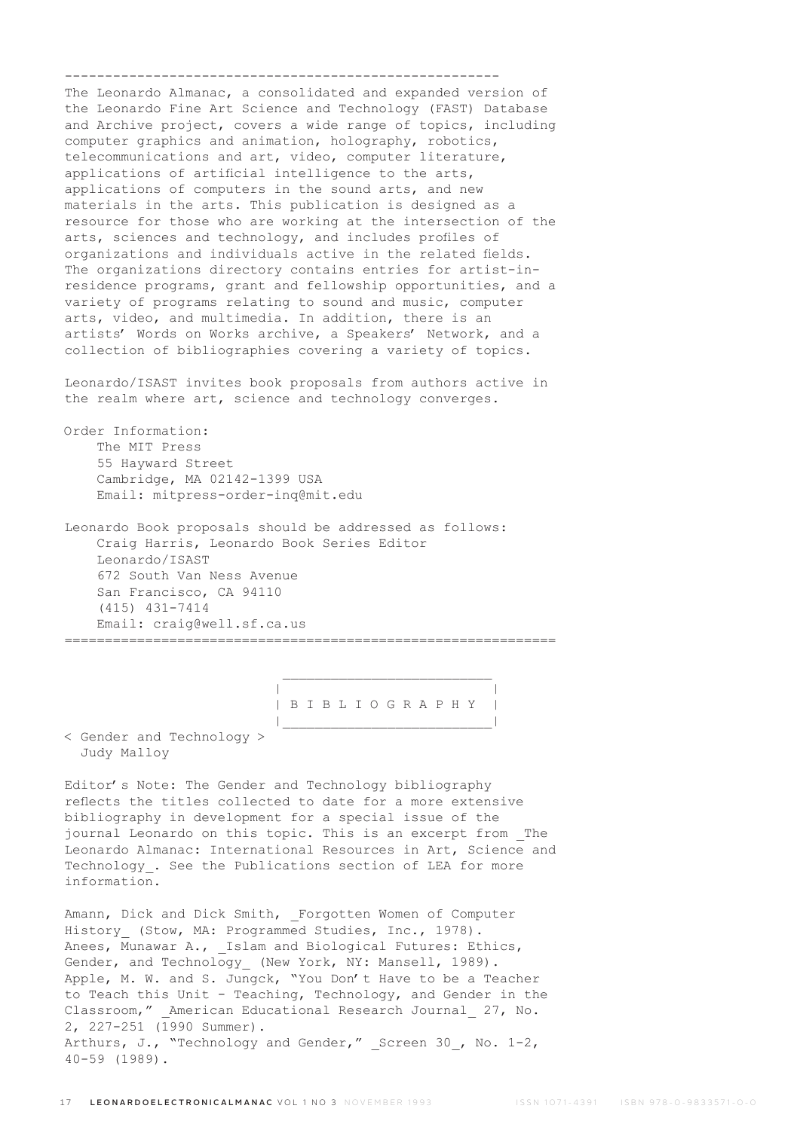------------------------------------------------------

The Leonardo Almanac, a consolidated and expanded version of the Leonardo Fine Art Science and Technology (FAST) Database and Archive project, covers a wide range of topics, including computer graphics and animation, holography, robotics, telecommunications and art, video, computer literature, applications of artificial intelligence to the arts, applications of computers in the sound arts, and new materials in the arts. This publication is designed as a resource for those who are working at the intersection of the arts, sciences and technology, and includes profiles of organizations and individuals active in the related fields. The organizations directory contains entries for artist-inresidence programs, grant and fellowship opportunities, and a variety of programs relating to sound and music, computer arts, video, and multimedia. In addition, there is an artists' Words on Works archive, a Speakers' Network, and a collection of bibliographies covering a variety of topics.

Leonardo/ISAST invites book proposals from authors active in the realm where art, science and technology converges.

Order Information: The MIT Press 55 Hayward Street Cambridge, MA 02142-1399 USA Email: mitpress-order-inq@mit.edu

Leonardo Book proposals should be addressed as follows: Craig Harris, Leonardo Book Series Editor Leonardo/ISAST 672 South Van Ness Avenue San Francisco, CA 94110 (415) 431-7414 Email: craig@well.sf.ca.us =============================================================

 $\mathcal{L}_\text{max}$  and  $\mathcal{L}_\text{max}$  and  $\mathcal{L}_\text{max}$  and  $\mathcal{L}_\text{max}$ 

 | | | B I B L I O G R A P H Y | |\_\_\_\_\_\_\_\_\_\_\_\_\_\_\_\_\_\_\_\_\_\_\_\_\_\_|

< Gender and Technology > Judy Malloy

Editor's Note: The Gender and Technology bibliography reflects the titles collected to date for a more extensive bibliography in development for a special issue of the journal Leonardo on this topic. This is an excerpt from The Leonardo Almanac: International Resources in Art, Science and Technology. See the Publications section of LEA for more information.

Amann, Dick and Dick Smith, Forgotten Women of Computer History (Stow, MA: Programmed Studies, Inc., 1978). Anees, Munawar A., Islam and Biological Futures: Ethics, Gender, and Technology (New York, NY: Mansell, 1989). Apple, M. W. and S. Jungck, "You Don't Have to be a Teacher to Teach this Unit - Teaching, Technology, and Gender in the Classroom," American Educational Research Journal 27, No. 2, 227-251 (1990 Summer). Arthurs, J., "Technology and Gender," Screen 30, No. 1-2, 40-59 (1989).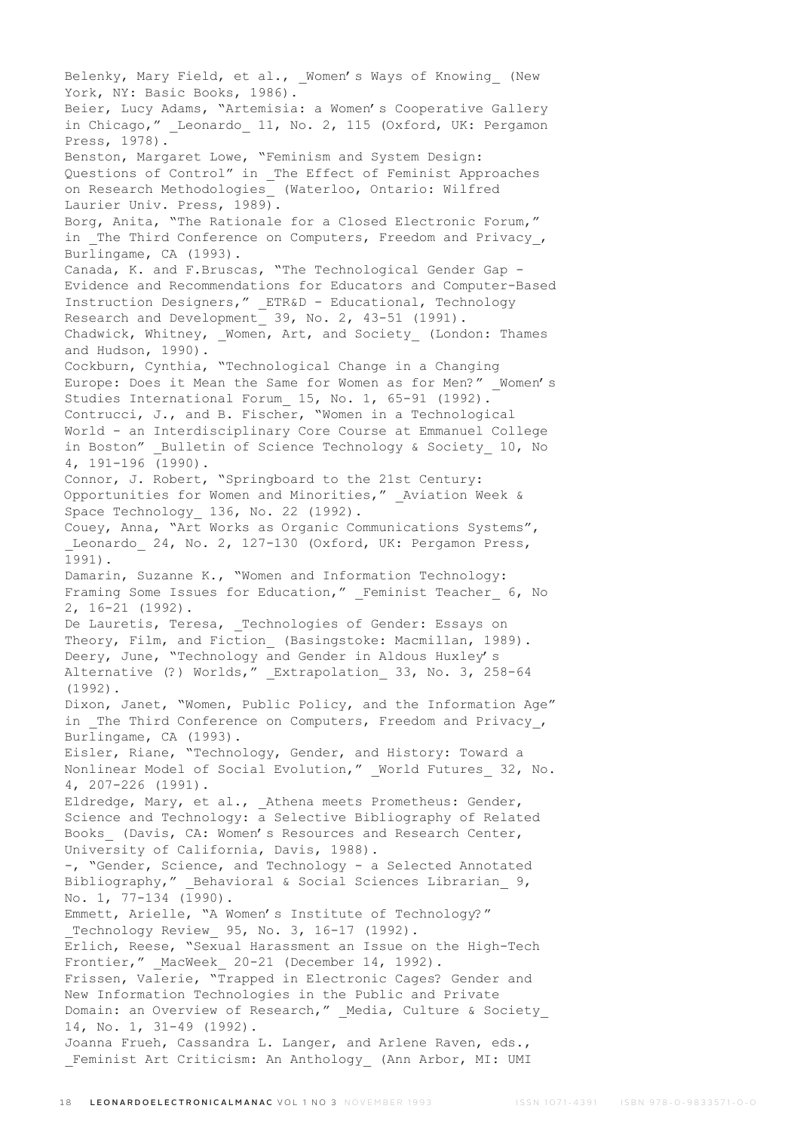Belenky, Mary Field, et al., \_Women's Ways of Knowing\_ (New York, NY: Basic Books, 1986). Beier, Lucy Adams, "Artemisia: a Women's Cooperative Gallery in Chicago," Leonardo 11, No. 2, 115 (Oxford, UK: Pergamon Press, 1978). Benston, Margaret Lowe, "Feminism and System Design: Questions of Control" in \_The Effect of Feminist Approaches on Research Methodologies\_ (Waterloo, Ontario: Wilfred Laurier Univ. Press, 1989). Borg, Anita, "The Rationale for a Closed Electronic Forum," in The Third Conference on Computers, Freedom and Privacy, Burlingame, CA (1993). Canada, K. and F.Bruscas, "The Technological Gender Gap - Evidence and Recommendations for Educators and Computer-Based Instruction Designers," \_ETR&D - Educational, Technology Research and Development 39, No. 2, 43-51 (1991). Chadwick, Whitney, Women, Art, and Society (London: Thames and Hudson, 1990). Cockburn, Cynthia, "Technological Change in a Changing Europe: Does it Mean the Same for Women as for Men?" Women's Studies International Forum\_ 15, No. 1, 65-91 (1992). Contrucci, J., and B. Fischer, "Women in a Technological World - an Interdisciplinary Core Course at Emmanuel College in Boston" Bulletin of Science Technology & Society 10, No 4, 191-196 (1990). Connor, J. Robert, "Springboard to the 21st Century: Opportunities for Women and Minorities," Aviation Week & Space Technology 136, No. 22 (1992). Couey, Anna, "Art Works as Organic Communications Systems", Leonardo 24, No. 2, 127-130 (Oxford, UK: Pergamon Press, 1991). Damarin, Suzanne K., "Women and Information Technology: Framing Some Issues for Education," Feminist Teacher 6, No 2, 16-21 (1992). De Lauretis, Teresa, \_Technologies of Gender: Essays on Theory, Film, and Fiction (Basingstoke: Macmillan, 1989). Deery, June, "Technology and Gender in Aldous Huxley's Alternative (?) Worlds," Extrapolation 33, No. 3, 258-64 (1992). Dixon, Janet, "Women, Public Policy, and the Information Age" in The Third Conference on Computers, Freedom and Privacy, Burlingame, CA (1993). Eisler, Riane, "Technology, Gender, and History: Toward a Nonlinear Model of Social Evolution," World Futures 32, No. 4, 207-226 (1991). Eldredge, Mary, et al., Athena meets Prometheus: Gender, Science and Technology: a Selective Bibliography of Related Books (Davis, CA: Women's Resources and Research Center, University of California, Davis, 1988). -, "Gender, Science, and Technology - a Selected Annotated Bibliography," Behavioral & Social Sciences Librarian 9, No. 1, 77-134 (1990). Emmett, Arielle, "A Women's Institute of Technology?" Technology Review 95, No. 3, 16-17 (1992). Erlich, Reese, "Sexual Harassment an Issue on the High-Tech Frontier," MacWeek 20-21 (December 14, 1992). Frissen, Valerie, "Trapped in Electronic Cages? Gender and New Information Technologies in the Public and Private Domain: an Overview of Research," Media, Culture & Society 14, No. 1, 31-49 (1992). Joanna Frueh, Cassandra L. Langer, and Arlene Raven, eds., Feminist Art Criticism: An Anthology (Ann Arbor, MI: UMI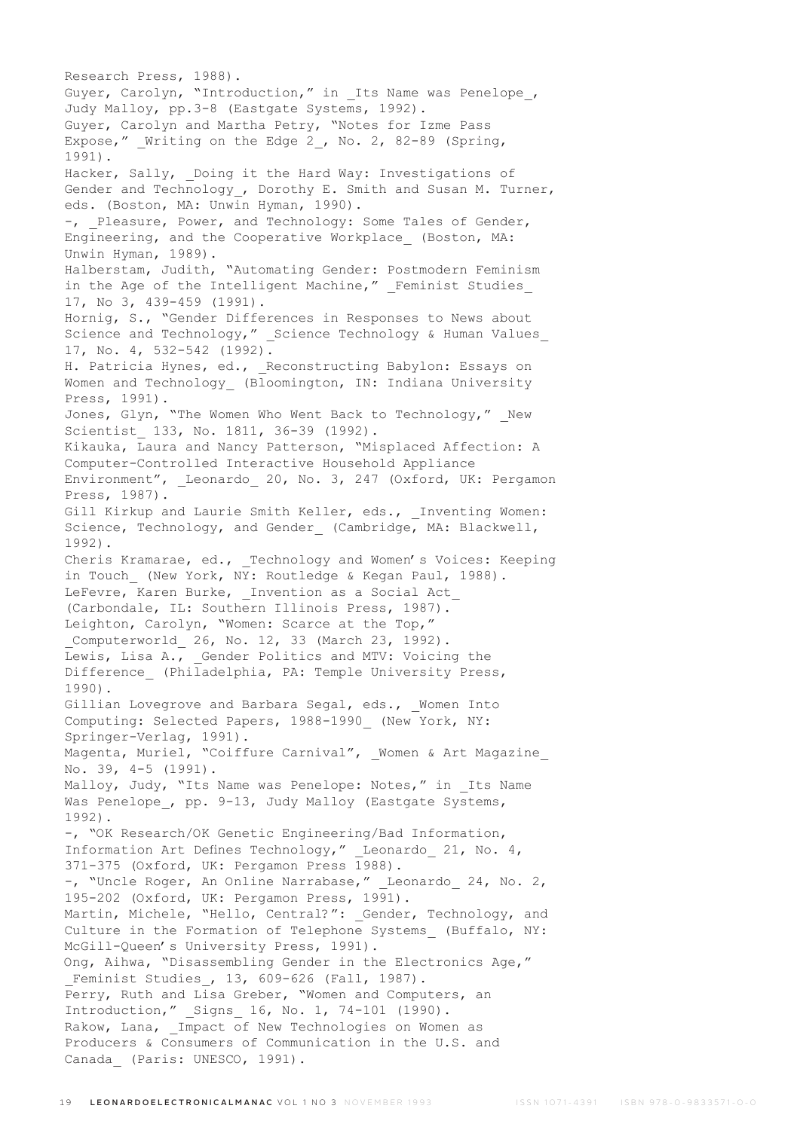Research Press, 1988). Guyer, Carolyn, "Introduction," in Its Name was Penelope, Judy Malloy, pp.3-8 (Eastgate Systems, 1992). Guyer, Carolyn and Martha Petry, "Notes for Izme Pass Expose," Writing on the Edge 2, No. 2, 82-89 (Spring, 1991). Hacker, Sally, Doing it the Hard Way: Investigations of Gender and Technology\_, Dorothy E. Smith and Susan M. Turner, eds. (Boston, MA: Unwin Hyman, 1990). -, Pleasure, Power, and Technology: Some Tales of Gender, Engineering, and the Cooperative Workplace\_ (Boston, MA: Unwin Hyman, 1989). Halberstam, Judith, "Automating Gender: Postmodern Feminism in the Age of the Intelligent Machine," Feminist Studies 17, No 3, 439-459 (1991). Hornig, S., "Gender Differences in Responses to News about Science and Technology," Science Technology & Human Values 17, No. 4, 532-542 (1992). H. Patricia Hynes, ed., Reconstructing Babylon: Essays on Women and Technology (Bloomington, IN: Indiana University Press, 1991). Jones, Glyn, "The Women Who Went Back to Technology," New Scientist 133, No. 1811, 36-39 (1992). Kikauka, Laura and Nancy Patterson, "Misplaced Affection: A Computer-Controlled Interactive Household Appliance Environment", Leonardo 20, No. 3, 247 (Oxford, UK: Pergamon Press, 1987). Gill Kirkup and Laurie Smith Keller, eds., Inventing Women: Science, Technology, and Gender (Cambridge, MA: Blackwell, 1992). Cheris Kramarae, ed., Technology and Women's Voices: Keeping in Touch (New York, NY: Routledge & Kegan Paul, 1988). LeFevre, Karen Burke, Invention as a Social Act (Carbondale, IL: Southern Illinois Press, 1987). Leighton, Carolyn, "Women: Scarce at the Top," Computerworld 26, No. 12, 33 (March 23, 1992). Lewis, Lisa A., Gender Politics and MTV: Voicing the Difference (Philadelphia, PA: Temple University Press, 1990). Gillian Lovegrove and Barbara Segal, eds., Women Into Computing: Selected Papers, 1988-1990\_ (New York, NY: Springer-Verlag, 1991). Magenta, Muriel, "Coiffure Carnival", Women & Art Magazine No. 39, 4-5 (1991). Malloy, Judy, "Its Name was Penelope: Notes," in Its Name Was Penelope, pp. 9-13, Judy Malloy (Eastgate Systems, 1992). -, "OK Research/OK Genetic Engineering/Bad Information, Information Art Defines Technology," Leonardo 21, No. 4, 371-375 (Oxford, UK: Pergamon Press 1988). -, "Uncle Roger, An Online Narrabase," Leonardo 24, No. 2, 195-202 (Oxford, UK: Pergamon Press, 1991). Martin, Michele, "Hello, Central?": Gender, Technology, and Culture in the Formation of Telephone Systems (Buffalo, NY: McGill-Queen's University Press, 1991). Ong, Aihwa, "Disassembling Gender in the Electronics Age," Feminist Studies, 13, 609-626 (Fall, 1987). Perry, Ruth and Lisa Greber, "Women and Computers, an Introduction," Signs 16, No. 1, 74-101 (1990). Rakow, Lana,  $\overline{Im}$  Impact of New Technologies on Women as Producers & Consumers of Communication in the U.S. and Canada (Paris: UNESCO, 1991).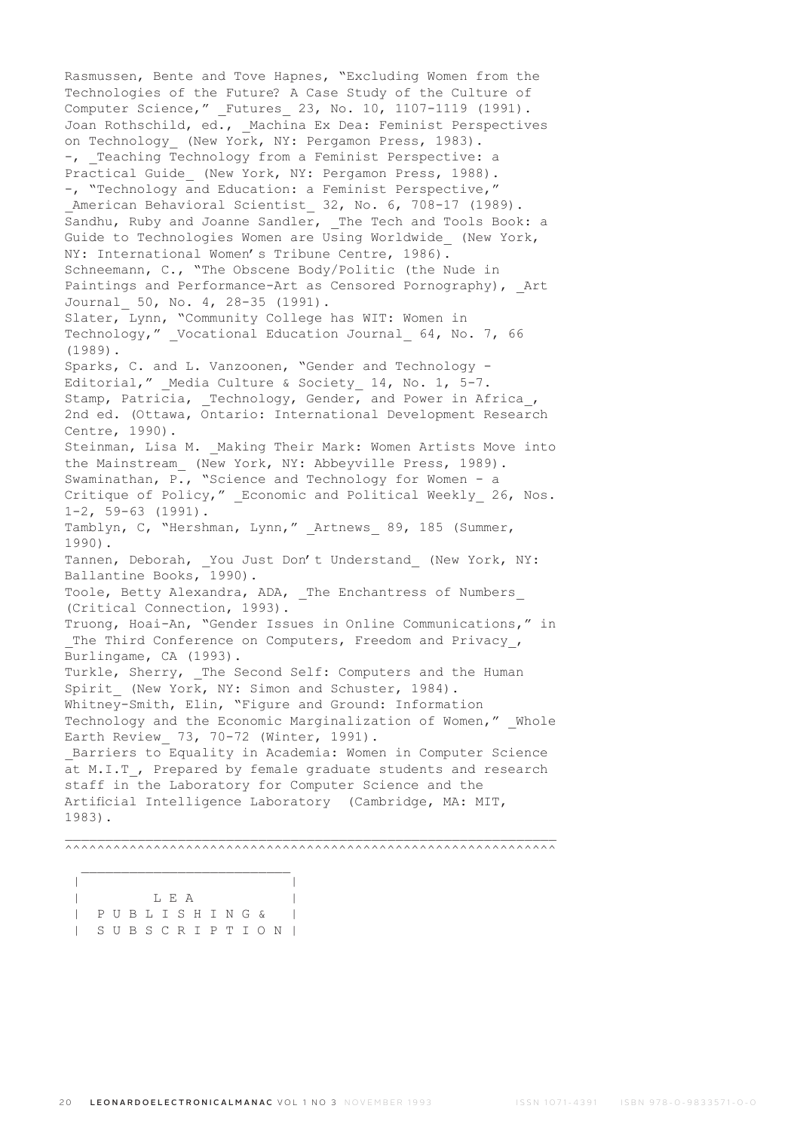Rasmussen, Bente and Tove Hapnes, "Excluding Women from the Technologies of the Future? A Case Study of the Culture of Computer Science," Futures 23, No. 10, 1107-1119 (1991). Joan Rothschild, ed., Machina Ex Dea: Feminist Perspectives on Technology (New York, NY: Pergamon Press, 1983). -, Teaching Technology from a Feminist Perspective: a Practical Guide\_ (New York, NY: Pergamon Press, 1988). -, "Technology and Education: a Feminist Perspective," American Behavioral Scientist 32, No. 6, 708-17 (1989). Sandhu, Ruby and Joanne Sandler, The Tech and Tools Book: a Guide to Technologies Women are Using Worldwide\_ (New York, NY: International Women's Tribune Centre, 1986). Schneemann, C., "The Obscene Body/Politic (the Nude in Paintings and Performance-Art as Censored Pornography), Art Journal\_ 50, No. 4, 28-35 (1991). Slater, Lynn, "Community College has WIT: Women in Technology," Vocational Education Journal 64, No. 7, 66 (1989). Sparks, C. and L. Vanzoonen, "Gender and Technology - Editorial," \_Media Culture & Society\_ 14, No. 1, 5-7. Stamp, Patricia, \_Technology, Gender, and Power in Africa\_, 2nd ed. (Ottawa, Ontario: International Development Research Centre, 1990). Steinman, Lisa M. Making Their Mark: Women Artists Move into the Mainstream (New York, NY: Abbeyville Press, 1989). Swaminathan,  $\overline{P}$ ., "Science and Technology for Women - a Critique of Policy," \_Economic and Political Weekly\_ 26, Nos. 1-2, 59-63 (1991). Tamblyn, C, "Hershman, Lynn," \_Artnews\_ 89, 185 (Summer, 1990). Tannen, Deborah, You Just Don't Understand (New York, NY: Ballantine Books, 1990). Toole, Betty Alexandra, ADA, \_The Enchantress of Numbers\_ (Critical Connection, 1993). Truong, Hoai-An, "Gender Issues in Online Communications," in The Third Conference on Computers, Freedom and Privacy, Burlingame, CA (1993). Turkle, Sherry, The Second Self: Computers and the Human Spirit (New York, NY: Simon and Schuster, 1984). Whitney-Smith, Elin, "Figure and Ground: Information Technology and the Economic Marginalization of Women," Whole Earth Review 73, 70-72 (Winter, 1991). \_Barriers to Equality in Academia: Women in Computer Science at M.I.T\_, Prepared by female graduate students and research staff in the Laboratory for Computer Science and the Artificial Intelligence Laboratory (Cambridge, MA: MIT, 1983).  $\mathcal{L}_\text{max}$ 

^^^^^^^^^^^^^^^^^^^^^^^^^^^^^^^^^^^^^^^^^^^^^^^^^^^^^^^^^^^^^

|              | T.F.A |  |  |  |  |  |  |  |  |  |  |  |
|--------------|-------|--|--|--|--|--|--|--|--|--|--|--|
| PUBLISHING & |       |  |  |  |  |  |  |  |  |  |  |  |
| SUBSCRIPTION |       |  |  |  |  |  |  |  |  |  |  |  |

 $\mathcal{L}_\text{max}$